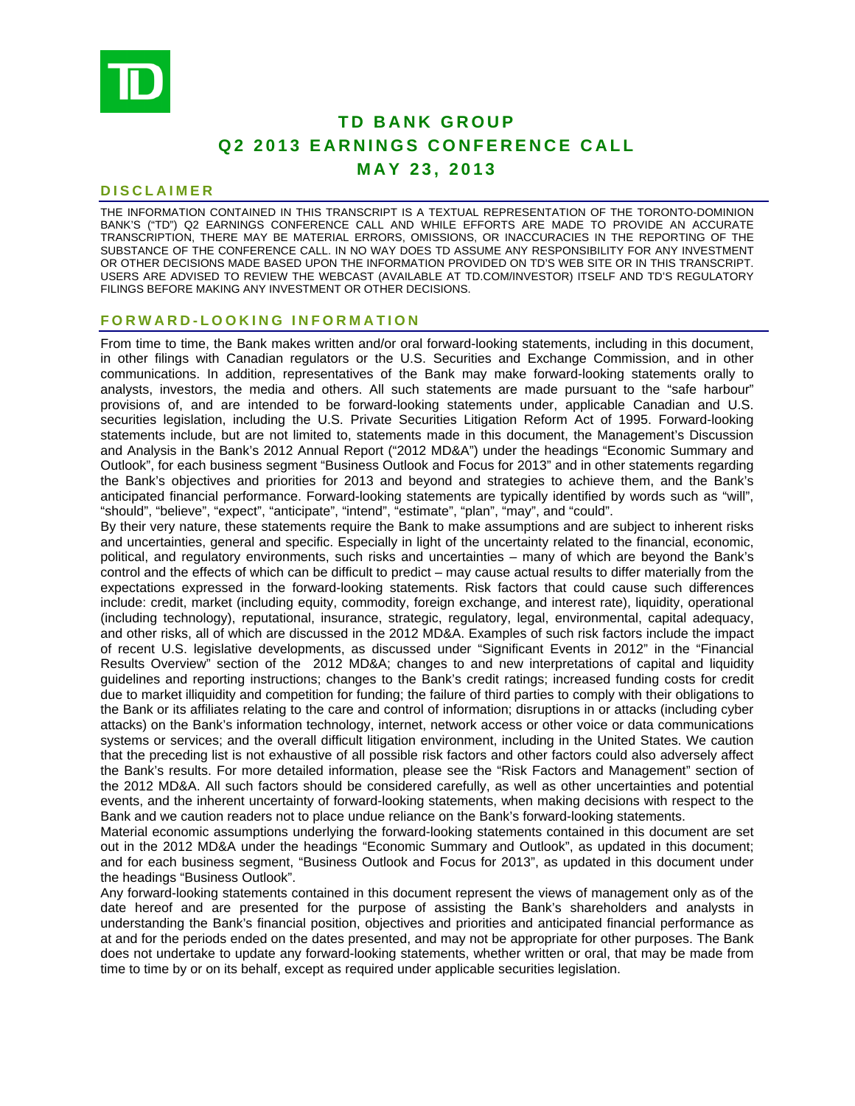

# **TD BANK GROUP Q2 2013 EARNINGS CONFERENCE CALL MAY 23, 2013**

#### **DISCLAIMER**

THE INFORMATION CONTAINED IN THIS TRANSCRIPT IS A TEXTUAL REPRESENTATION OF THE TORONTO-DOMINION BANK'S ("TD") Q2 EARNINGS CONFERENCE CALL AND WHILE EFFORTS ARE MADE TO PROVIDE AN ACCURATE TRANSCRIPTION, THERE MAY BE MATERIAL ERRORS, OMISSIONS, OR INACCURACIES IN THE REPORTING OF THE SUBSTANCE OF THE CONFERENCE CALL. IN NO WAY DOES TD ASSUME ANY RESPONSIBILITY FOR ANY INVESTMENT OR OTHER DECISIONS MADE BASED UPON THE INFORMATION PROVIDED ON TD'S WEB SITE OR IN THIS TRANSCRIPT. USERS ARE ADVISED TO REVIEW THE WEBCAST (AVAILABLE AT TD.COM/INVESTOR) ITSELF AND TD'S REGULATORY FILINGS BEFORE MAKING ANY INVESTMENT OR OTHER DECISIONS.

#### **FORWARD-LOOKING INFORMATION**

From time to time, the Bank makes written and/or oral forward-looking statements, including in this document, in other filings with Canadian regulators or the U.S. Securities and Exchange Commission, and in other communications. In addition, representatives of the Bank may make forward-looking statements orally to analysts, investors, the media and others. All such statements are made pursuant to the "safe harbour" provisions of, and are intended to be forward-looking statements under, applicable Canadian and U.S. securities legislation, including the U.S. Private Securities Litigation Reform Act of 1995. Forward-looking statements include, but are not limited to, statements made in this document, the Management's Discussion and Analysis in the Bank's 2012 Annual Report ("2012 MD&A") under the headings "Economic Summary and Outlook", for each business segment "Business Outlook and Focus for 2013" and in other statements regarding the Bank's objectives and priorities for 2013 and beyond and strategies to achieve them, and the Bank's anticipated financial performance. Forward-looking statements are typically identified by words such as "will", "should", "believe", "expect", "anticipate", "intend", "estimate", "plan", "may", and "could".

By their very nature, these statements require the Bank to make assumptions and are subject to inherent risks and uncertainties, general and specific. Especially in light of the uncertainty related to the financial, economic, political, and regulatory environments, such risks and uncertainties – many of which are beyond the Bank's control and the effects of which can be difficult to predict – may cause actual results to differ materially from the expectations expressed in the forward-looking statements. Risk factors that could cause such differences include: credit, market (including equity, commodity, foreign exchange, and interest rate), liquidity, operational (including technology), reputational, insurance, strategic, regulatory, legal, environmental, capital adequacy, and other risks, all of which are discussed in the 2012 MD&A. Examples of such risk factors include the impact of recent U.S. legislative developments, as discussed under "Significant Events in 2012" in the "Financial Results Overview" section of the 2012 MD&A; changes to and new interpretations of capital and liquidity guidelines and reporting instructions; changes to the Bank's credit ratings; increased funding costs for credit due to market illiquidity and competition for funding; the failure of third parties to comply with their obligations to the Bank or its affiliates relating to the care and control of information; disruptions in or attacks (including cyber attacks) on the Bank's information technology, internet, network access or other voice or data communications systems or services; and the overall difficult litigation environment, including in the United States. We caution that the preceding list is not exhaustive of all possible risk factors and other factors could also adversely affect the Bank's results. For more detailed information, please see the "Risk Factors and Management" section of the 2012 MD&A. All such factors should be considered carefully, as well as other uncertainties and potential events, and the inherent uncertainty of forward-looking statements, when making decisions with respect to the Bank and we caution readers not to place undue reliance on the Bank's forward-looking statements.

Material economic assumptions underlying the forward-looking statements contained in this document are set out in the 2012 MD&A under the headings "Economic Summary and Outlook", as updated in this document; and for each business segment, "Business Outlook and Focus for 2013", as updated in this document under the headings "Business Outlook".

Any forward-looking statements contained in this document represent the views of management only as of the date hereof and are presented for the purpose of assisting the Bank's shareholders and analysts in understanding the Bank's financial position, objectives and priorities and anticipated financial performance as at and for the periods ended on the dates presented, and may not be appropriate for other purposes. The Bank does not undertake to update any forward-looking statements, whether written or oral, that may be made from time to time by or on its behalf, except as required under applicable securities legislation.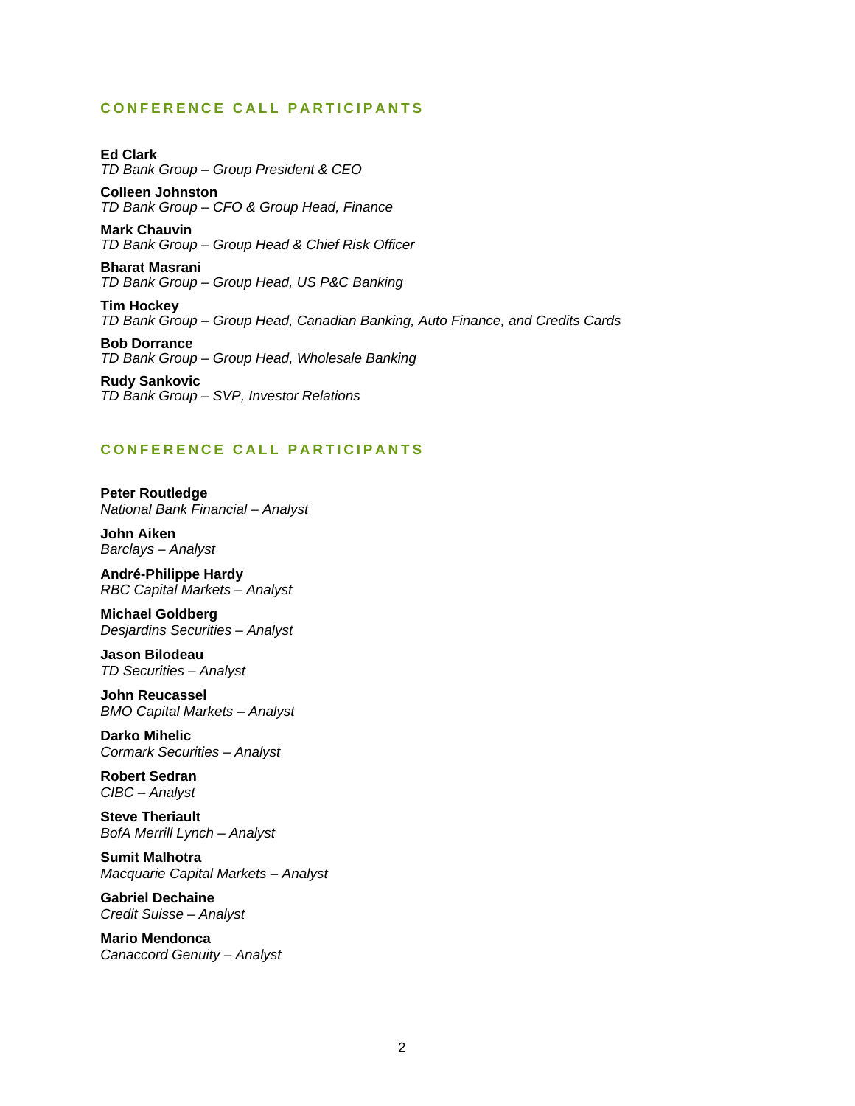## **CONFERENCE CALL PARTICIPANTS**

**Ed Clark**  *TD Bank Group – Group President & CEO* 

**Colleen Johnston**  *TD Bank Group – CFO & Group Head, Finance* 

**Mark Chauvin**  *TD Bank Group – Group Head & Chief Risk Officer* 

**Bharat Masrani**  *TD Bank Group – Group Head, US P&C Banking* 

**Tim Hockey**  *TD Bank Group – Group Head, Canadian Banking, Auto Finance, and Credits Cards* 

**Bob Dorrance**  *TD Bank Group – Group Head, Wholesale Banking* 

**Rudy Sankovic**  *TD Bank Group – SVP, Investor Relations* 

## **CONFERENCE CALL PARTICIPANTS**

**Peter Routledge**  *National Bank Financial – Analyst* 

**John Aiken**  *Barclays – Analyst* 

**André-Philippe Hardy**  *RBC Capital Markets – Analyst* 

**Michael Goldberg**  *Desjardins Securities – Analyst* 

**Jason Bilodeau**  *TD Securities – Analyst* 

**John Reucassel**  *BMO Capital Markets – Analyst* 

**Darko Mihelic**  *Cormark Securities – Analyst* 

**Robert Sedran**  *CIBC – Analyst* 

**Steve Theriault**  *BofA Merrill Lynch – Analyst* 

**Sumit Malhotra**  *Macquarie Capital Markets – Analyst* 

**Gabriel Dechaine**  *Credit Suisse – Analyst* 

**Mario Mendonca**  *Canaccord Genuity – Analyst*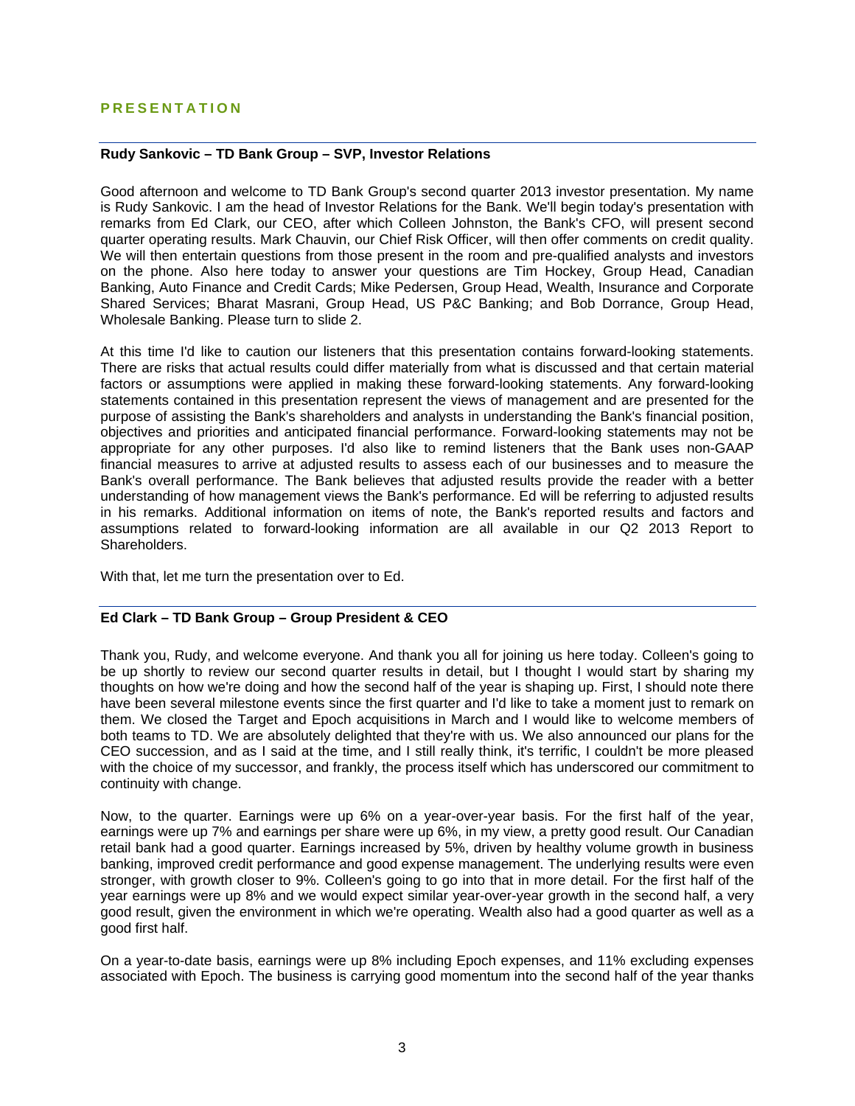## **PRESENTATION**

### **Rudy Sankovic – TD Bank Group – SVP, Investor Relations**

Good afternoon and welcome to TD Bank Group's second quarter 2013 investor presentation. My name is Rudy Sankovic. I am the head of Investor Relations for the Bank. We'll begin today's presentation with remarks from Ed Clark, our CEO, after which Colleen Johnston, the Bank's CFO, will present second quarter operating results. Mark Chauvin, our Chief Risk Officer, will then offer comments on credit quality. We will then entertain questions from those present in the room and pre-qualified analysts and investors on the phone. Also here today to answer your questions are Tim Hockey, Group Head, Canadian Banking, Auto Finance and Credit Cards; Mike Pedersen, Group Head, Wealth, Insurance and Corporate Shared Services; Bharat Masrani, Group Head, US P&C Banking; and Bob Dorrance, Group Head, Wholesale Banking. Please turn to slide 2.

At this time I'd like to caution our listeners that this presentation contains forward-looking statements. There are risks that actual results could differ materially from what is discussed and that certain material factors or assumptions were applied in making these forward-looking statements. Any forward-looking statements contained in this presentation represent the views of management and are presented for the purpose of assisting the Bank's shareholders and analysts in understanding the Bank's financial position, objectives and priorities and anticipated financial performance. Forward-looking statements may not be appropriate for any other purposes. I'd also like to remind listeners that the Bank uses non-GAAP financial measures to arrive at adjusted results to assess each of our businesses and to measure the Bank's overall performance. The Bank believes that adjusted results provide the reader with a better understanding of how management views the Bank's performance. Ed will be referring to adjusted results in his remarks. Additional information on items of note, the Bank's reported results and factors and assumptions related to forward-looking information are all available in our Q2 2013 Report to Shareholders.

With that, let me turn the presentation over to Ed.

### **Ed Clark – TD Bank Group – Group President & CEO**

Thank you, Rudy, and welcome everyone. And thank you all for joining us here today. Colleen's going to be up shortly to review our second quarter results in detail, but I thought I would start by sharing my thoughts on how we're doing and how the second half of the year is shaping up. First, I should note there have been several milestone events since the first quarter and I'd like to take a moment just to remark on them. We closed the Target and Epoch acquisitions in March and I would like to welcome members of both teams to TD. We are absolutely delighted that they're with us. We also announced our plans for the CEO succession, and as I said at the time, and I still really think, it's terrific, I couldn't be more pleased with the choice of my successor, and frankly, the process itself which has underscored our commitment to continuity with change.

Now, to the quarter. Earnings were up 6% on a year-over-year basis. For the first half of the year, earnings were up 7% and earnings per share were up 6%, in my view, a pretty good result. Our Canadian retail bank had a good quarter. Earnings increased by 5%, driven by healthy volume growth in business banking, improved credit performance and good expense management. The underlying results were even stronger, with growth closer to 9%. Colleen's going to go into that in more detail. For the first half of the year earnings were up 8% and we would expect similar year-over-year growth in the second half, a very good result, given the environment in which we're operating. Wealth also had a good quarter as well as a good first half.

On a year-to-date basis, earnings were up 8% including Epoch expenses, and 11% excluding expenses associated with Epoch. The business is carrying good momentum into the second half of the year thanks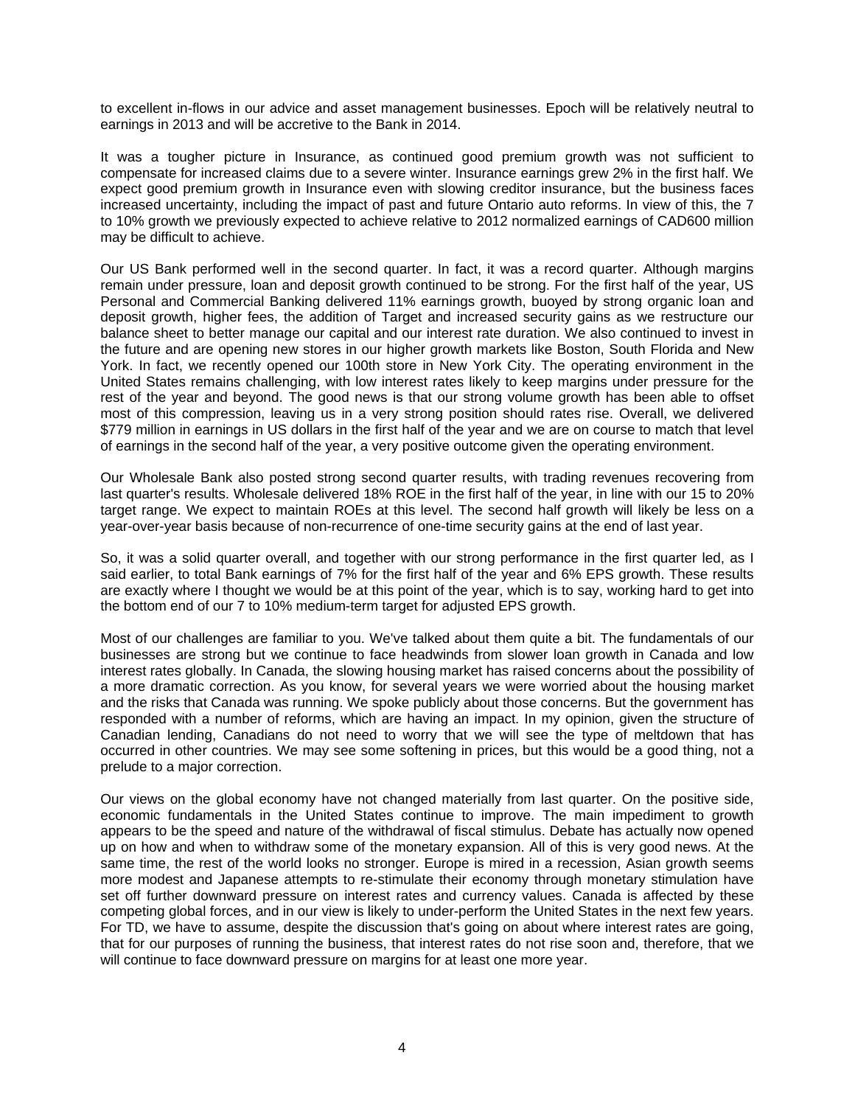to excellent in-flows in our advice and asset management businesses. Epoch will be relatively neutral to earnings in 2013 and will be accretive to the Bank in 2014.

It was a tougher picture in Insurance, as continued good premium growth was not sufficient to compensate for increased claims due to a severe winter. Insurance earnings grew 2% in the first half. We expect good premium growth in Insurance even with slowing creditor insurance, but the business faces increased uncertainty, including the impact of past and future Ontario auto reforms. In view of this, the 7 to 10% growth we previously expected to achieve relative to 2012 normalized earnings of CAD600 million may be difficult to achieve.

Our US Bank performed well in the second quarter. In fact, it was a record quarter. Although margins remain under pressure, loan and deposit growth continued to be strong. For the first half of the year, US Personal and Commercial Banking delivered 11% earnings growth, buoyed by strong organic loan and deposit growth, higher fees, the addition of Target and increased security gains as we restructure our balance sheet to better manage our capital and our interest rate duration. We also continued to invest in the future and are opening new stores in our higher growth markets like Boston, South Florida and New York. In fact, we recently opened our 100th store in New York City. The operating environment in the United States remains challenging, with low interest rates likely to keep margins under pressure for the rest of the year and beyond. The good news is that our strong volume growth has been able to offset most of this compression, leaving us in a very strong position should rates rise. Overall, we delivered \$779 million in earnings in US dollars in the first half of the year and we are on course to match that level of earnings in the second half of the year, a very positive outcome given the operating environment.

Our Wholesale Bank also posted strong second quarter results, with trading revenues recovering from last quarter's results. Wholesale delivered 18% ROE in the first half of the year, in line with our 15 to 20% target range. We expect to maintain ROEs at this level. The second half growth will likely be less on a year-over-year basis because of non-recurrence of one-time security gains at the end of last year.

So, it was a solid quarter overall, and together with our strong performance in the first quarter led, as I said earlier, to total Bank earnings of 7% for the first half of the year and 6% EPS growth. These results are exactly where I thought we would be at this point of the year, which is to say, working hard to get into the bottom end of our 7 to 10% medium-term target for adjusted EPS growth.

Most of our challenges are familiar to you. We've talked about them quite a bit. The fundamentals of our businesses are strong but we continue to face headwinds from slower loan growth in Canada and low interest rates globally. In Canada, the slowing housing market has raised concerns about the possibility of a more dramatic correction. As you know, for several years we were worried about the housing market and the risks that Canada was running. We spoke publicly about those concerns. But the government has responded with a number of reforms, which are having an impact. In my opinion, given the structure of Canadian lending, Canadians do not need to worry that we will see the type of meltdown that has occurred in other countries. We may see some softening in prices, but this would be a good thing, not a prelude to a major correction.

Our views on the global economy have not changed materially from last quarter. On the positive side, economic fundamentals in the United States continue to improve. The main impediment to growth appears to be the speed and nature of the withdrawal of fiscal stimulus. Debate has actually now opened up on how and when to withdraw some of the monetary expansion. All of this is very good news. At the same time, the rest of the world looks no stronger. Europe is mired in a recession, Asian growth seems more modest and Japanese attempts to re-stimulate their economy through monetary stimulation have set off further downward pressure on interest rates and currency values. Canada is affected by these competing global forces, and in our view is likely to under-perform the United States in the next few years. For TD, we have to assume, despite the discussion that's going on about where interest rates are going, that for our purposes of running the business, that interest rates do not rise soon and, therefore, that we will continue to face downward pressure on margins for at least one more year.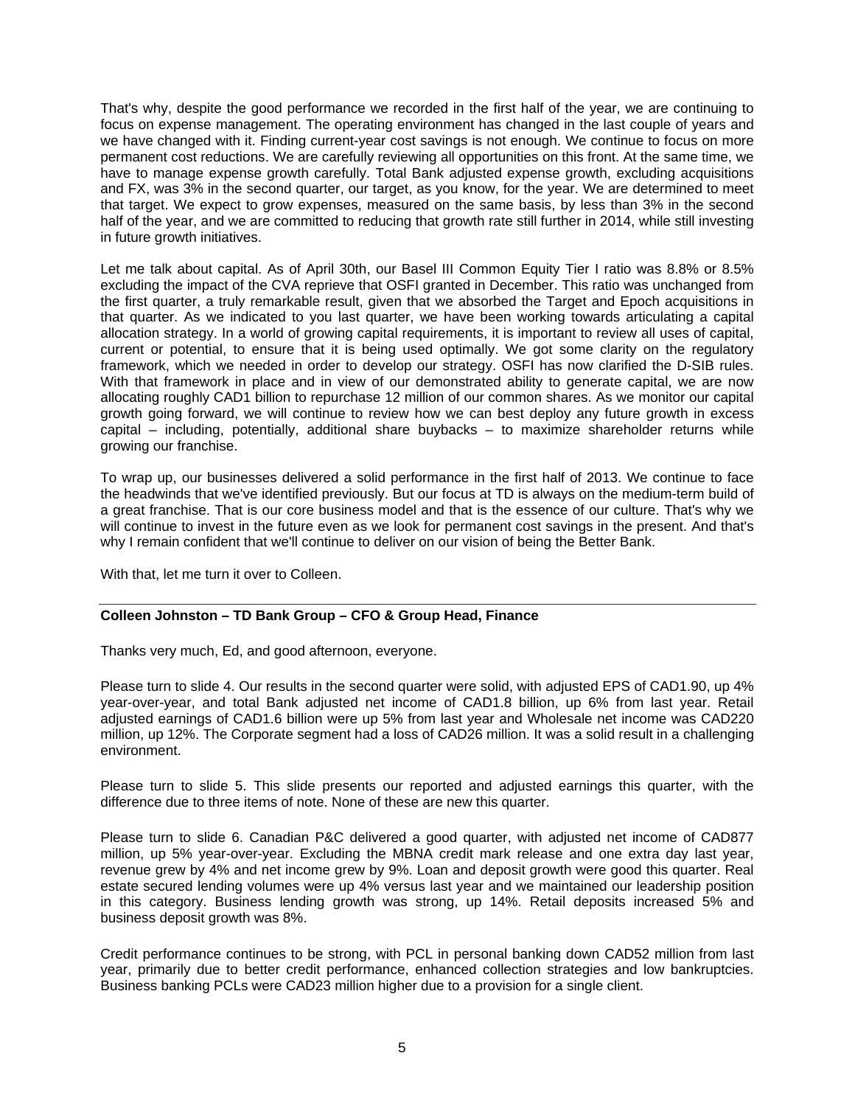That's why, despite the good performance we recorded in the first half of the year, we are continuing to focus on expense management. The operating environment has changed in the last couple of years and we have changed with it. Finding current-year cost savings is not enough. We continue to focus on more permanent cost reductions. We are carefully reviewing all opportunities on this front. At the same time, we have to manage expense growth carefully. Total Bank adjusted expense growth, excluding acquisitions and FX, was 3% in the second quarter, our target, as you know, for the year. We are determined to meet that target. We expect to grow expenses, measured on the same basis, by less than 3% in the second half of the year, and we are committed to reducing that growth rate still further in 2014, while still investing in future growth initiatives.

Let me talk about capital. As of April 30th, our Basel III Common Equity Tier I ratio was 8.8% or 8.5% excluding the impact of the CVA reprieve that OSFI granted in December. This ratio was unchanged from the first quarter, a truly remarkable result, given that we absorbed the Target and Epoch acquisitions in that quarter. As we indicated to you last quarter, we have been working towards articulating a capital allocation strategy. In a world of growing capital requirements, it is important to review all uses of capital, current or potential, to ensure that it is being used optimally. We got some clarity on the regulatory framework, which we needed in order to develop our strategy. OSFI has now clarified the D-SIB rules. With that framework in place and in view of our demonstrated ability to generate capital, we are now allocating roughly CAD1 billion to repurchase 12 million of our common shares. As we monitor our capital growth going forward, we will continue to review how we can best deploy any future growth in excess capital – including, potentially, additional share buybacks – to maximize shareholder returns while growing our franchise.

To wrap up, our businesses delivered a solid performance in the first half of 2013. We continue to face the headwinds that we've identified previously. But our focus at TD is always on the medium-term build of a great franchise. That is our core business model and that is the essence of our culture. That's why we will continue to invest in the future even as we look for permanent cost savings in the present. And that's why I remain confident that we'll continue to deliver on our vision of being the Better Bank.

With that, let me turn it over to Colleen.

## **Colleen Johnston – TD Bank Group – CFO & Group Head, Finance**

Thanks very much, Ed, and good afternoon, everyone.

Please turn to slide 4. Our results in the second quarter were solid, with adjusted EPS of CAD1.90, up 4% year-over-year, and total Bank adjusted net income of CAD1.8 billion, up 6% from last year. Retail adjusted earnings of CAD1.6 billion were up 5% from last year and Wholesale net income was CAD220 million, up 12%. The Corporate segment had a loss of CAD26 million. It was a solid result in a challenging environment.

Please turn to slide 5. This slide presents our reported and adjusted earnings this quarter, with the difference due to three items of note. None of these are new this quarter.

Please turn to slide 6. Canadian P&C delivered a good quarter, with adjusted net income of CAD877 million, up 5% year-over-year. Excluding the MBNA credit mark release and one extra day last year, revenue grew by 4% and net income grew by 9%. Loan and deposit growth were good this quarter. Real estate secured lending volumes were up 4% versus last year and we maintained our leadership position in this category. Business lending growth was strong, up 14%. Retail deposits increased 5% and business deposit growth was 8%.

Credit performance continues to be strong, with PCL in personal banking down CAD52 million from last year, primarily due to better credit performance, enhanced collection strategies and low bankruptcies. Business banking PCLs were CAD23 million higher due to a provision for a single client.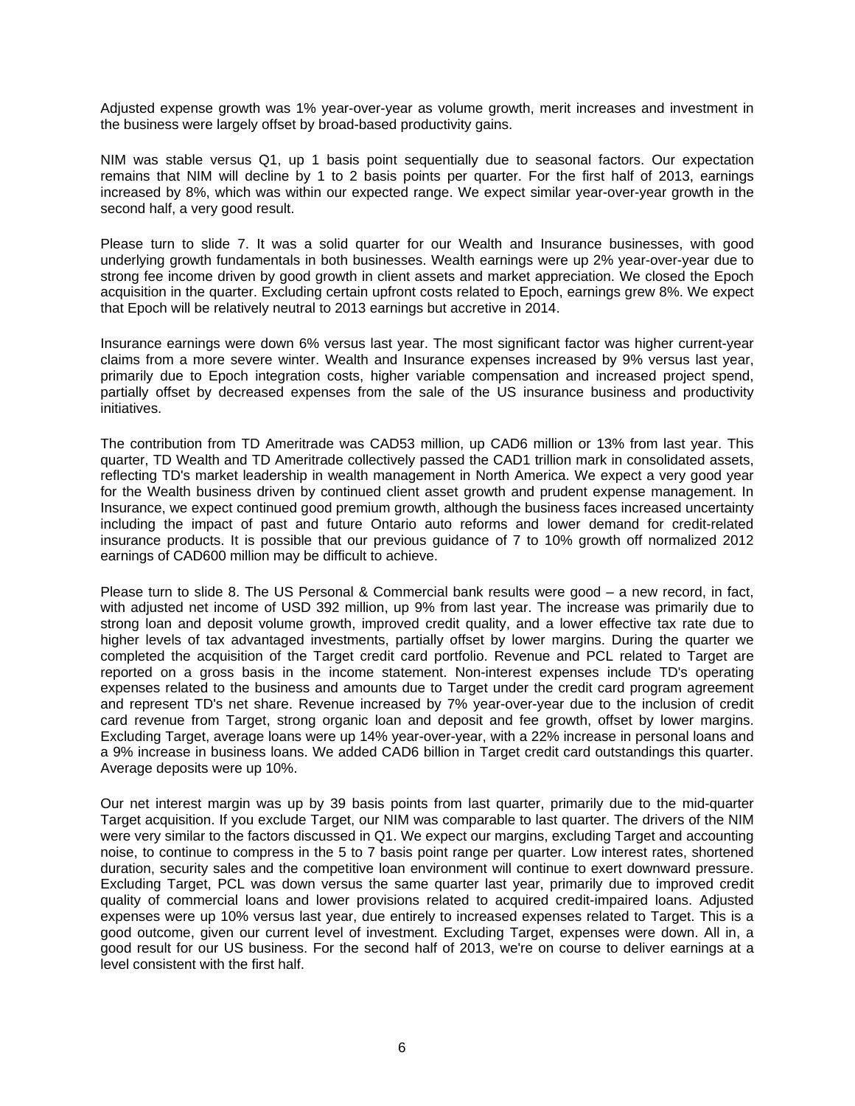Adjusted expense growth was 1% year-over-year as volume growth, merit increases and investment in the business were largely offset by broad-based productivity gains.

NIM was stable versus Q1, up 1 basis point sequentially due to seasonal factors. Our expectation remains that NIM will decline by 1 to 2 basis points per quarter. For the first half of 2013, earnings increased by 8%, which was within our expected range. We expect similar year-over-year growth in the second half, a very good result.

Please turn to slide 7. It was a solid quarter for our Wealth and Insurance businesses, with good underlying growth fundamentals in both businesses. Wealth earnings were up 2% year-over-year due to strong fee income driven by good growth in client assets and market appreciation. We closed the Epoch acquisition in the quarter. Excluding certain upfront costs related to Epoch, earnings grew 8%. We expect that Epoch will be relatively neutral to 2013 earnings but accretive in 2014.

Insurance earnings were down 6% versus last year. The most significant factor was higher current-year claims from a more severe winter. Wealth and Insurance expenses increased by 9% versus last year, primarily due to Epoch integration costs, higher variable compensation and increased project spend, partially offset by decreased expenses from the sale of the US insurance business and productivity initiatives.

The contribution from TD Ameritrade was CAD53 million, up CAD6 million or 13% from last year. This quarter, TD Wealth and TD Ameritrade collectively passed the CAD1 trillion mark in consolidated assets, reflecting TD's market leadership in wealth management in North America. We expect a very good year for the Wealth business driven by continued client asset growth and prudent expense management. In Insurance, we expect continued good premium growth, although the business faces increased uncertainty including the impact of past and future Ontario auto reforms and lower demand for credit-related insurance products. It is possible that our previous guidance of 7 to 10% growth off normalized 2012 earnings of CAD600 million may be difficult to achieve.

Please turn to slide 8. The US Personal & Commercial bank results were good – a new record, in fact, with adjusted net income of USD 392 million, up 9% from last year. The increase was primarily due to strong loan and deposit volume growth, improved credit quality, and a lower effective tax rate due to higher levels of tax advantaged investments, partially offset by lower margins. During the quarter we completed the acquisition of the Target credit card portfolio. Revenue and PCL related to Target are reported on a gross basis in the income statement. Non-interest expenses include TD's operating expenses related to the business and amounts due to Target under the credit card program agreement and represent TD's net share. Revenue increased by 7% year-over-year due to the inclusion of credit card revenue from Target, strong organic loan and deposit and fee growth, offset by lower margins. Excluding Target, average loans were up 14% year-over-year, with a 22% increase in personal loans and a 9% increase in business loans. We added CAD6 billion in Target credit card outstandings this quarter. Average deposits were up 10%.

Our net interest margin was up by 39 basis points from last quarter, primarily due to the mid-quarter Target acquisition. If you exclude Target, our NIM was comparable to last quarter. The drivers of the NIM were very similar to the factors discussed in Q1. We expect our margins, excluding Target and accounting noise, to continue to compress in the 5 to 7 basis point range per quarter. Low interest rates, shortened duration, security sales and the competitive loan environment will continue to exert downward pressure. Excluding Target, PCL was down versus the same quarter last year, primarily due to improved credit quality of commercial loans and lower provisions related to acquired credit-impaired loans. Adjusted expenses were up 10% versus last year, due entirely to increased expenses related to Target. This is a good outcome, given our current level of investment. Excluding Target, expenses were down. All in, a good result for our US business. For the second half of 2013, we're on course to deliver earnings at a level consistent with the first half.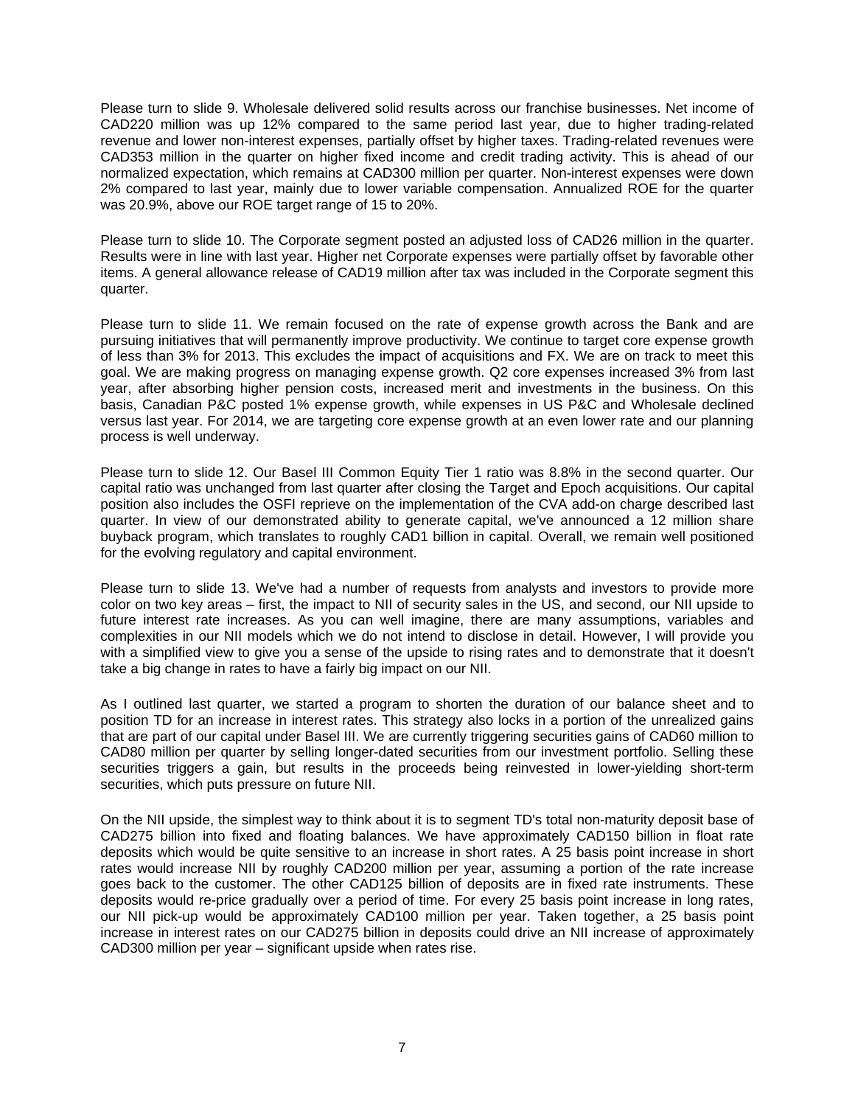Please turn to slide 9. Wholesale delivered solid results across our franchise businesses. Net income of CAD220 million was up 12% compared to the same period last year, due to higher trading-related revenue and lower non-interest expenses, partially offset by higher taxes. Trading-related revenues were CAD353 million in the quarter on higher fixed income and credit trading activity. This is ahead of our normalized expectation, which remains at CAD300 million per quarter. Non-interest expenses were down 2% compared to last year, mainly due to lower variable compensation. Annualized ROE for the quarter was 20.9%, above our ROE target range of 15 to 20%.

Please turn to slide 10. The Corporate segment posted an adjusted loss of CAD26 million in the quarter. Results were in line with last year. Higher net Corporate expenses were partially offset by favorable other items. A general allowance release of CAD19 million after tax was included in the Corporate segment this quarter.

Please turn to slide 11. We remain focused on the rate of expense growth across the Bank and are pursuing initiatives that will permanently improve productivity. We continue to target core expense growth of less than 3% for 2013. This excludes the impact of acquisitions and FX. We are on track to meet this goal. We are making progress on managing expense growth. Q2 core expenses increased 3% from last year, after absorbing higher pension costs, increased merit and investments in the business. On this basis, Canadian P&C posted 1% expense growth, while expenses in US P&C and Wholesale declined versus last year. For 2014, we are targeting core expense growth at an even lower rate and our planning process is well underway.

Please turn to slide 12. Our Basel III Common Equity Tier 1 ratio was 8.8% in the second quarter. Our capital ratio was unchanged from last quarter after closing the Target and Epoch acquisitions. Our capital position also includes the OSFI reprieve on the implementation of the CVA add-on charge described last quarter. In view of our demonstrated ability to generate capital, we've announced a 12 million share buyback program, which translates to roughly CAD1 billion in capital. Overall, we remain well positioned for the evolving regulatory and capital environment.

Please turn to slide 13. We've had a number of requests from analysts and investors to provide more color on two key areas – first, the impact to NII of security sales in the US, and second, our NII upside to future interest rate increases. As you can well imagine, there are many assumptions, variables and complexities in our NII models which we do not intend to disclose in detail. However, I will provide you with a simplified view to give you a sense of the upside to rising rates and to demonstrate that it doesn't take a big change in rates to have a fairly big impact on our NII.

As I outlined last quarter, we started a program to shorten the duration of our balance sheet and to position TD for an increase in interest rates. This strategy also locks in a portion of the unrealized gains that are part of our capital under Basel III. We are currently triggering securities gains of CAD60 million to CAD80 million per quarter by selling longer-dated securities from our investment portfolio. Selling these securities triggers a gain, but results in the proceeds being reinvested in lower-yielding short-term securities, which puts pressure on future NII.

On the NII upside, the simplest way to think about it is to segment TD's total non-maturity deposit base of CAD275 billion into fixed and floating balances. We have approximately CAD150 billion in float rate deposits which would be quite sensitive to an increase in short rates. A 25 basis point increase in short rates would increase NII by roughly CAD200 million per year, assuming a portion of the rate increase goes back to the customer. The other CAD125 billion of deposits are in fixed rate instruments. These deposits would re-price gradually over a period of time. For every 25 basis point increase in long rates, our NII pick-up would be approximately CAD100 million per year. Taken together, a 25 basis point increase in interest rates on our CAD275 billion in deposits could drive an NII increase of approximately CAD300 million per year – significant upside when rates rise.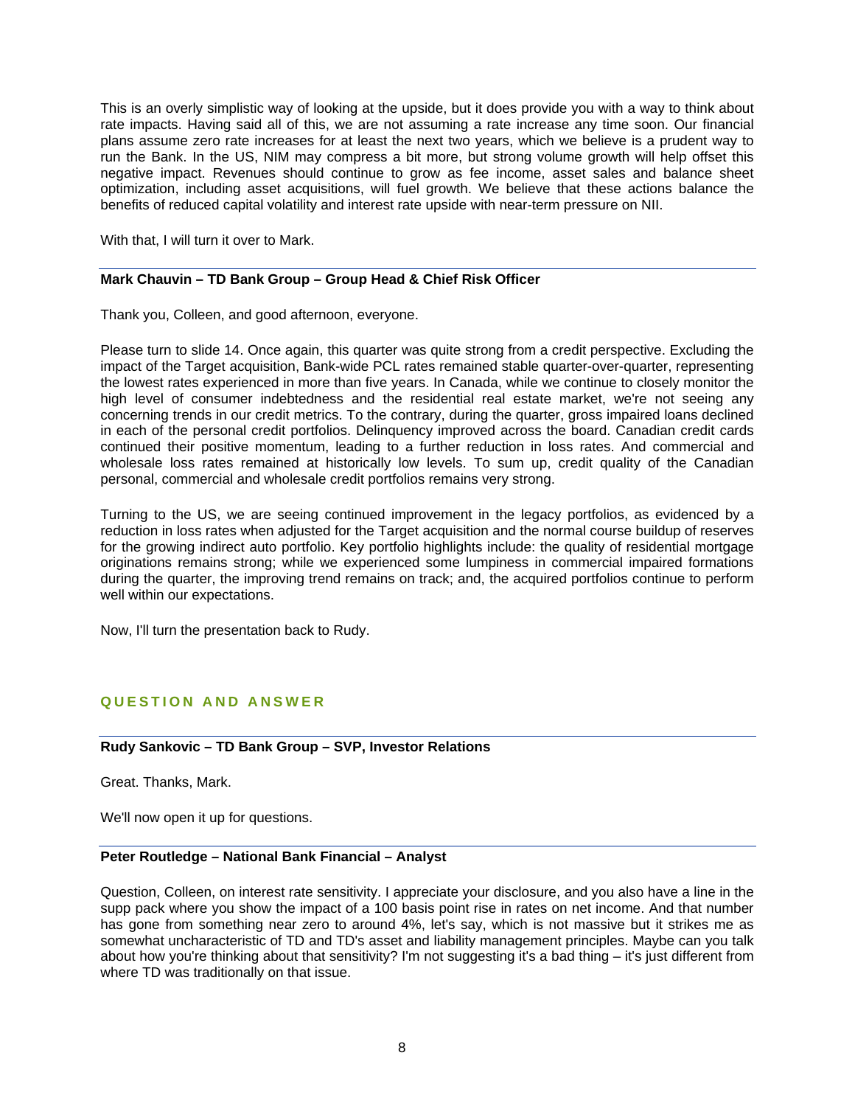This is an overly simplistic way of looking at the upside, but it does provide you with a way to think about rate impacts. Having said all of this, we are not assuming a rate increase any time soon. Our financial plans assume zero rate increases for at least the next two years, which we believe is a prudent way to run the Bank. In the US, NIM may compress a bit more, but strong volume growth will help offset this negative impact. Revenues should continue to grow as fee income, asset sales and balance sheet optimization, including asset acquisitions, will fuel growth. We believe that these actions balance the benefits of reduced capital volatility and interest rate upside with near-term pressure on NII.

With that, I will turn it over to Mark.

### **Mark Chauvin – TD Bank Group – Group Head & Chief Risk Officer**

Thank you, Colleen, and good afternoon, everyone.

Please turn to slide 14. Once again, this quarter was quite strong from a credit perspective. Excluding the impact of the Target acquisition, Bank-wide PCL rates remained stable quarter-over-quarter, representing the lowest rates experienced in more than five years. In Canada, while we continue to closely monitor the high level of consumer indebtedness and the residential real estate market, we're not seeing any concerning trends in our credit metrics. To the contrary, during the quarter, gross impaired loans declined in each of the personal credit portfolios. Delinquency improved across the board. Canadian credit cards continued their positive momentum, leading to a further reduction in loss rates. And commercial and wholesale loss rates remained at historically low levels. To sum up, credit quality of the Canadian personal, commercial and wholesale credit portfolios remains very strong.

Turning to the US, we are seeing continued improvement in the legacy portfolios, as evidenced by a reduction in loss rates when adjusted for the Target acquisition and the normal course buildup of reserves for the growing indirect auto portfolio. Key portfolio highlights include: the quality of residential mortgage originations remains strong; while we experienced some lumpiness in commercial impaired formations during the quarter, the improving trend remains on track; and, the acquired portfolios continue to perform well within our expectations.

Now, I'll turn the presentation back to Rudy.

## **QUESTION AND ANSWER**

### **Rudy Sankovic – TD Bank Group – SVP, Investor Relations**

Great. Thanks, Mark.

We'll now open it up for questions.

### **Peter Routledge – National Bank Financial – Analyst**

Question, Colleen, on interest rate sensitivity. I appreciate your disclosure, and you also have a line in the supp pack where you show the impact of a 100 basis point rise in rates on net income. And that number has gone from something near zero to around 4%, let's say, which is not massive but it strikes me as somewhat uncharacteristic of TD and TD's asset and liability management principles. Maybe can you talk about how you're thinking about that sensitivity? I'm not suggesting it's a bad thing – it's just different from where TD was traditionally on that issue.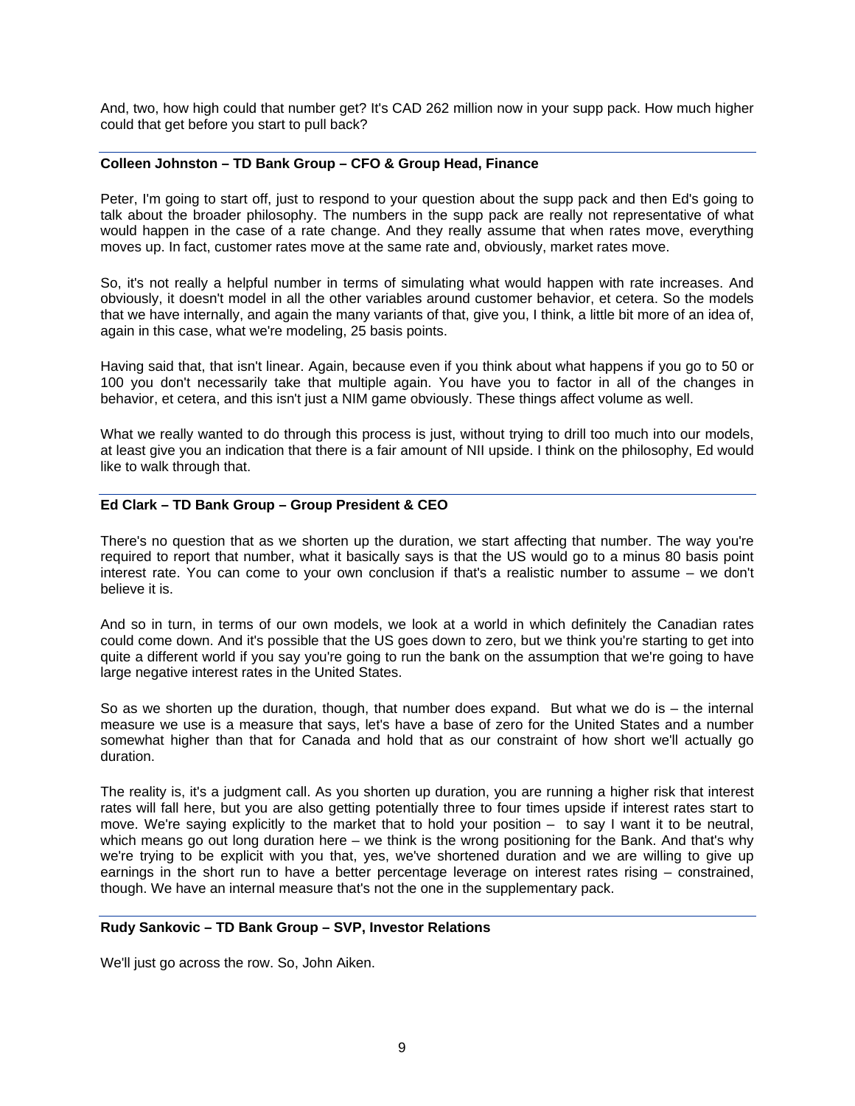And, two, how high could that number get? It's CAD 262 million now in your supp pack. How much higher could that get before you start to pull back?

## **Colleen Johnston – TD Bank Group – CFO & Group Head, Finance**

Peter, I'm going to start off, just to respond to your question about the supp pack and then Ed's going to talk about the broader philosophy. The numbers in the supp pack are really not representative of what would happen in the case of a rate change. And they really assume that when rates move, everything moves up. In fact, customer rates move at the same rate and, obviously, market rates move.

So, it's not really a helpful number in terms of simulating what would happen with rate increases. And obviously, it doesn't model in all the other variables around customer behavior, et cetera. So the models that we have internally, and again the many variants of that, give you, I think, a little bit more of an idea of, again in this case, what we're modeling, 25 basis points.

Having said that, that isn't linear. Again, because even if you think about what happens if you go to 50 or 100 you don't necessarily take that multiple again. You have you to factor in all of the changes in behavior, et cetera, and this isn't just a NIM game obviously. These things affect volume as well.

What we really wanted to do through this process is just, without trying to drill too much into our models, at least give you an indication that there is a fair amount of NII upside. I think on the philosophy, Ed would like to walk through that.

### **Ed Clark – TD Bank Group – Group President & CEO**

There's no question that as we shorten up the duration, we start affecting that number. The way you're required to report that number, what it basically says is that the US would go to a minus 80 basis point interest rate. You can come to your own conclusion if that's a realistic number to assume – we don't believe it is.

And so in turn, in terms of our own models, we look at a world in which definitely the Canadian rates could come down. And it's possible that the US goes down to zero, but we think you're starting to get into quite a different world if you say you're going to run the bank on the assumption that we're going to have large negative interest rates in the United States.

So as we shorten up the duration, though, that number does expand. But what we do is – the internal measure we use is a measure that says, let's have a base of zero for the United States and a number somewhat higher than that for Canada and hold that as our constraint of how short we'll actually go duration.

The reality is, it's a judgment call. As you shorten up duration, you are running a higher risk that interest rates will fall here, but you are also getting potentially three to four times upside if interest rates start to move. We're saying explicitly to the market that to hold your position – to say I want it to be neutral, which means go out long duration here – we think is the wrong positioning for the Bank. And that's why we're trying to be explicit with you that, yes, we've shortened duration and we are willing to give up earnings in the short run to have a better percentage leverage on interest rates rising – constrained, though. We have an internal measure that's not the one in the supplementary pack.

#### **Rudy Sankovic – TD Bank Group – SVP, Investor Relations**

We'll just go across the row. So, John Aiken.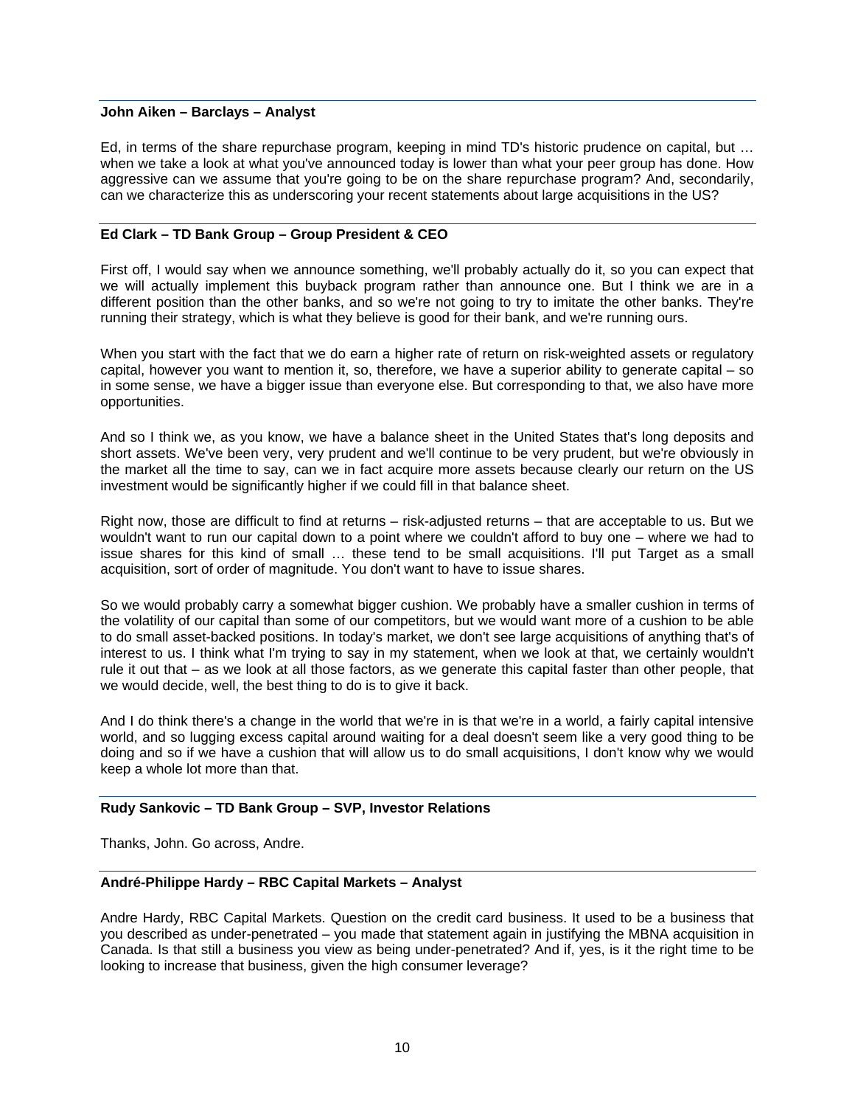#### **John Aiken – Barclays – Analyst**

Ed, in terms of the share repurchase program, keeping in mind TD's historic prudence on capital, but … when we take a look at what you've announced today is lower than what your peer group has done. How aggressive can we assume that you're going to be on the share repurchase program? And, secondarily, can we characterize this as underscoring your recent statements about large acquisitions in the US?

### **Ed Clark – TD Bank Group – Group President & CEO**

First off, I would say when we announce something, we'll probably actually do it, so you can expect that we will actually implement this buyback program rather than announce one. But I think we are in a different position than the other banks, and so we're not going to try to imitate the other banks. They're running their strategy, which is what they believe is good for their bank, and we're running ours.

When you start with the fact that we do earn a higher rate of return on risk-weighted assets or regulatory capital, however you want to mention it, so, therefore, we have a superior ability to generate capital – so in some sense, we have a bigger issue than everyone else. But corresponding to that, we also have more opportunities.

And so I think we, as you know, we have a balance sheet in the United States that's long deposits and short assets. We've been very, very prudent and we'll continue to be very prudent, but we're obviously in the market all the time to say, can we in fact acquire more assets because clearly our return on the US investment would be significantly higher if we could fill in that balance sheet.

Right now, those are difficult to find at returns – risk-adjusted returns – that are acceptable to us. But we wouldn't want to run our capital down to a point where we couldn't afford to buy one – where we had to issue shares for this kind of small … these tend to be small acquisitions. I'll put Target as a small acquisition, sort of order of magnitude. You don't want to have to issue shares.

So we would probably carry a somewhat bigger cushion. We probably have a smaller cushion in terms of the volatility of our capital than some of our competitors, but we would want more of a cushion to be able to do small asset-backed positions. In today's market, we don't see large acquisitions of anything that's of interest to us. I think what I'm trying to say in my statement, when we look at that, we certainly wouldn't rule it out that – as we look at all those factors, as we generate this capital faster than other people, that we would decide, well, the best thing to do is to give it back.

And I do think there's a change in the world that we're in is that we're in a world, a fairly capital intensive world, and so lugging excess capital around waiting for a deal doesn't seem like a very good thing to be doing and so if we have a cushion that will allow us to do small acquisitions, I don't know why we would keep a whole lot more than that.

### **Rudy Sankovic – TD Bank Group – SVP, Investor Relations**

Thanks, John. Go across, Andre.

### **André-Philippe Hardy – RBC Capital Markets – Analyst**

Andre Hardy, RBC Capital Markets. Question on the credit card business. It used to be a business that you described as under-penetrated – you made that statement again in justifying the MBNA acquisition in Canada. Is that still a business you view as being under-penetrated? And if, yes, is it the right time to be looking to increase that business, given the high consumer leverage?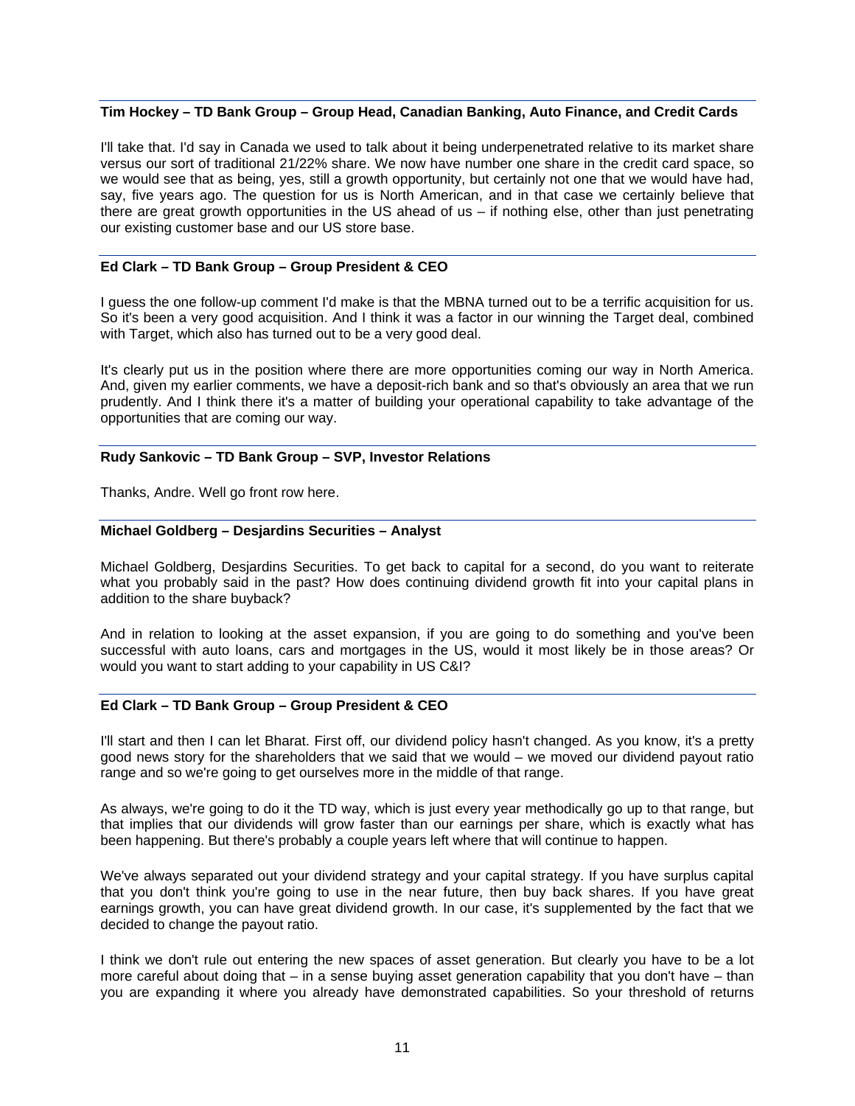### **Tim Hockey – TD Bank Group – Group Head, Canadian Banking, Auto Finance, and Credit Cards**

I'll take that. I'd say in Canada we used to talk about it being underpenetrated relative to its market share versus our sort of traditional 21/22% share. We now have number one share in the credit card space, so we would see that as being, yes, still a growth opportunity, but certainly not one that we would have had, say, five years ago. The question for us is North American, and in that case we certainly believe that there are great growth opportunities in the US ahead of us – if nothing else, other than just penetrating our existing customer base and our US store base.

### **Ed Clark – TD Bank Group – Group President & CEO**

I guess the one follow-up comment I'd make is that the MBNA turned out to be a terrific acquisition for us. So it's been a very good acquisition. And I think it was a factor in our winning the Target deal, combined with Target, which also has turned out to be a very good deal.

It's clearly put us in the position where there are more opportunities coming our way in North America. And, given my earlier comments, we have a deposit-rich bank and so that's obviously an area that we run prudently. And I think there it's a matter of building your operational capability to take advantage of the opportunities that are coming our way.

### **Rudy Sankovic – TD Bank Group – SVP, Investor Relations**

Thanks, Andre. Well go front row here.

### **Michael Goldberg – Desjardins Securities – Analyst**

Michael Goldberg, Desjardins Securities. To get back to capital for a second, do you want to reiterate what you probably said in the past? How does continuing dividend growth fit into your capital plans in addition to the share buyback?

And in relation to looking at the asset expansion, if you are going to do something and you've been successful with auto loans, cars and mortgages in the US, would it most likely be in those areas? Or would you want to start adding to your capability in US C&I?

### **Ed Clark – TD Bank Group – Group President & CEO**

I'll start and then I can let Bharat. First off, our dividend policy hasn't changed. As you know, it's a pretty good news story for the shareholders that we said that we would – we moved our dividend payout ratio range and so we're going to get ourselves more in the middle of that range.

As always, we're going to do it the TD way, which is just every year methodically go up to that range, but that implies that our dividends will grow faster than our earnings per share, which is exactly what has been happening. But there's probably a couple years left where that will continue to happen.

We've always separated out your dividend strategy and your capital strategy. If you have surplus capital that you don't think you're going to use in the near future, then buy back shares. If you have great earnings growth, you can have great dividend growth. In our case, it's supplemented by the fact that we decided to change the payout ratio.

I think we don't rule out entering the new spaces of asset generation. But clearly you have to be a lot more careful about doing that  $-$  in a sense buying asset generation capability that you don't have  $-$  than you are expanding it where you already have demonstrated capabilities. So your threshold of returns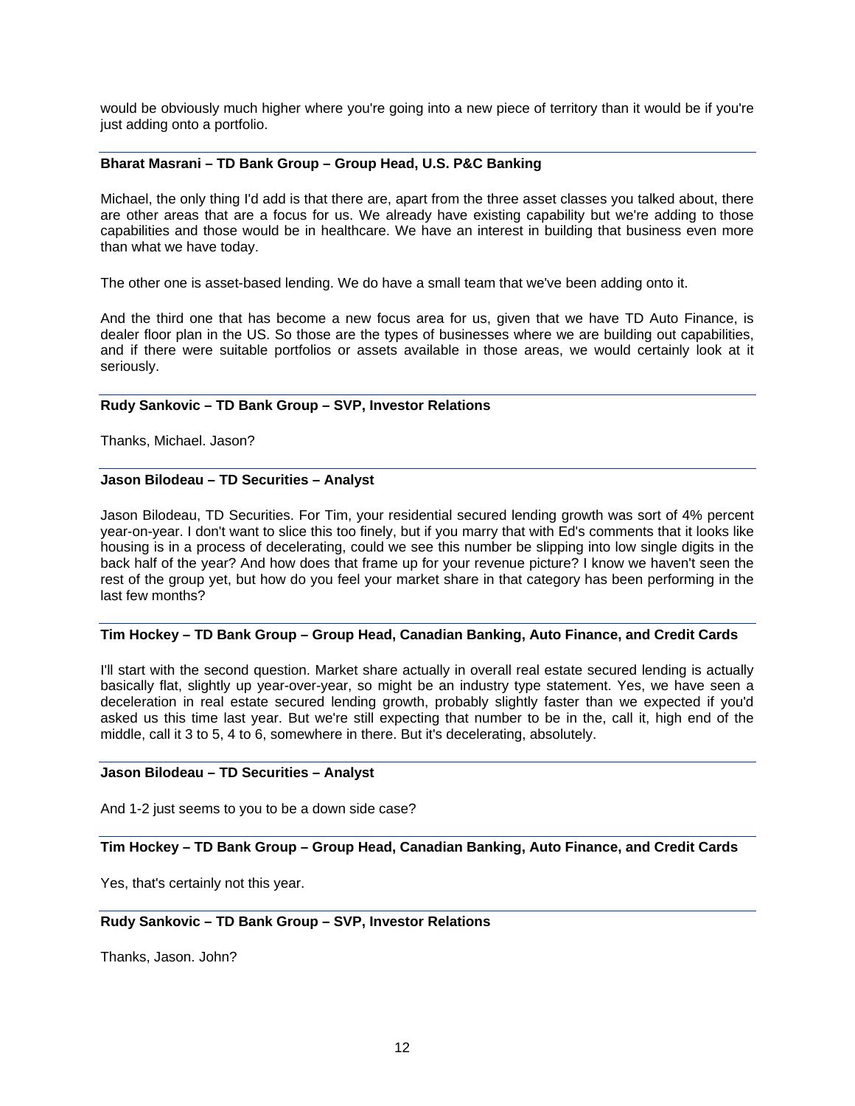would be obviously much higher where you're going into a new piece of territory than it would be if you're just adding onto a portfolio.

## **Bharat Masrani – TD Bank Group – Group Head, U.S. P&C Banking**

Michael, the only thing I'd add is that there are, apart from the three asset classes you talked about, there are other areas that are a focus for us. We already have existing capability but we're adding to those capabilities and those would be in healthcare. We have an interest in building that business even more than what we have today.

The other one is asset-based lending. We do have a small team that we've been adding onto it.

And the third one that has become a new focus area for us, given that we have TD Auto Finance, is dealer floor plan in the US. So those are the types of businesses where we are building out capabilities, and if there were suitable portfolios or assets available in those areas, we would certainly look at it seriously.

#### **Rudy Sankovic – TD Bank Group – SVP, Investor Relations**

Thanks, Michael. Jason?

#### **Jason Bilodeau – TD Securities – Analyst**

Jason Bilodeau, TD Securities. For Tim, your residential secured lending growth was sort of 4% percent year-on-year. I don't want to slice this too finely, but if you marry that with Ed's comments that it looks like housing is in a process of decelerating, could we see this number be slipping into low single digits in the back half of the year? And how does that frame up for your revenue picture? I know we haven't seen the rest of the group yet, but how do you feel your market share in that category has been performing in the last few months?

### **Tim Hockey – TD Bank Group – Group Head, Canadian Banking, Auto Finance, and Credit Cards**

I'll start with the second question. Market share actually in overall real estate secured lending is actually basically flat, slightly up year-over-year, so might be an industry type statement. Yes, we have seen a deceleration in real estate secured lending growth, probably slightly faster than we expected if you'd asked us this time last year. But we're still expecting that number to be in the, call it, high end of the middle, call it 3 to 5, 4 to 6, somewhere in there. But it's decelerating, absolutely.

#### **Jason Bilodeau – TD Securities – Analyst**

And 1-2 just seems to you to be a down side case?

**Tim Hockey – TD Bank Group – Group Head, Canadian Banking, Auto Finance, and Credit Cards** 

Yes, that's certainly not this year.

### **Rudy Sankovic – TD Bank Group – SVP, Investor Relations**

Thanks, Jason. John?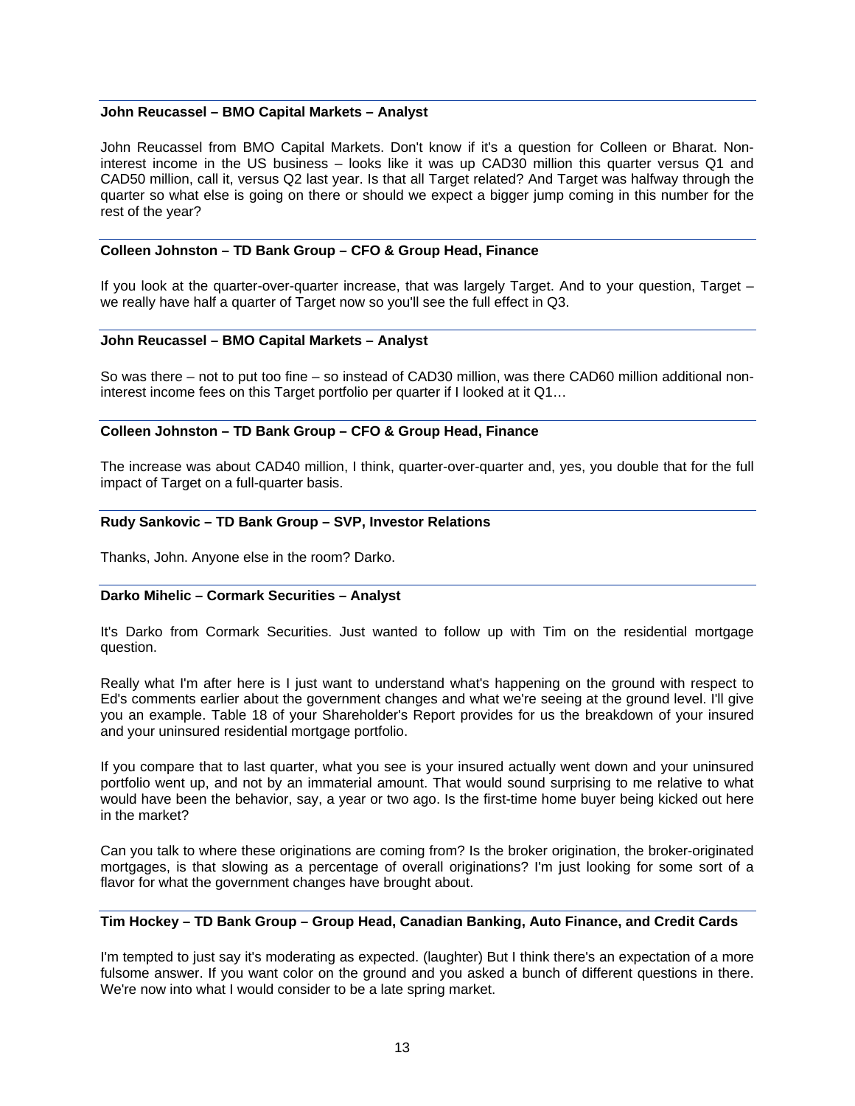#### **John Reucassel – BMO Capital Markets – Analyst**

John Reucassel from BMO Capital Markets. Don't know if it's a question for Colleen or Bharat. Noninterest income in the US business – looks like it was up CAD30 million this quarter versus Q1 and CAD50 million, call it, versus Q2 last year. Is that all Target related? And Target was halfway through the quarter so what else is going on there or should we expect a bigger jump coming in this number for the rest of the year?

#### **Colleen Johnston – TD Bank Group – CFO & Group Head, Finance**

If you look at the quarter-over-quarter increase, that was largely Target. And to your question, Target – we really have half a quarter of Target now so you'll see the full effect in Q3.

#### **John Reucassel – BMO Capital Markets – Analyst**

So was there – not to put too fine – so instead of CAD30 million, was there CAD60 million additional noninterest income fees on this Target portfolio per quarter if I looked at it Q1…

#### **Colleen Johnston – TD Bank Group – CFO & Group Head, Finance**

The increase was about CAD40 million, I think, quarter-over-quarter and, yes, you double that for the full impact of Target on a full-quarter basis.

#### **Rudy Sankovic – TD Bank Group – SVP, Investor Relations**

Thanks, John. Anyone else in the room? Darko.

#### **Darko Mihelic – Cormark Securities – Analyst**

It's Darko from Cormark Securities. Just wanted to follow up with Tim on the residential mortgage question.

Really what I'm after here is I just want to understand what's happening on the ground with respect to Ed's comments earlier about the government changes and what we're seeing at the ground level. I'll give you an example. Table 18 of your Shareholder's Report provides for us the breakdown of your insured and your uninsured residential mortgage portfolio.

If you compare that to last quarter, what you see is your insured actually went down and your uninsured portfolio went up, and not by an immaterial amount. That would sound surprising to me relative to what would have been the behavior, say, a year or two ago. Is the first-time home buyer being kicked out here in the market?

Can you talk to where these originations are coming from? Is the broker origination, the broker-originated mortgages, is that slowing as a percentage of overall originations? I'm just looking for some sort of a flavor for what the government changes have brought about.

#### **Tim Hockey – TD Bank Group – Group Head, Canadian Banking, Auto Finance, and Credit Cards**

I'm tempted to just say it's moderating as expected. (laughter) But I think there's an expectation of a more fulsome answer. If you want color on the ground and you asked a bunch of different questions in there. We're now into what I would consider to be a late spring market.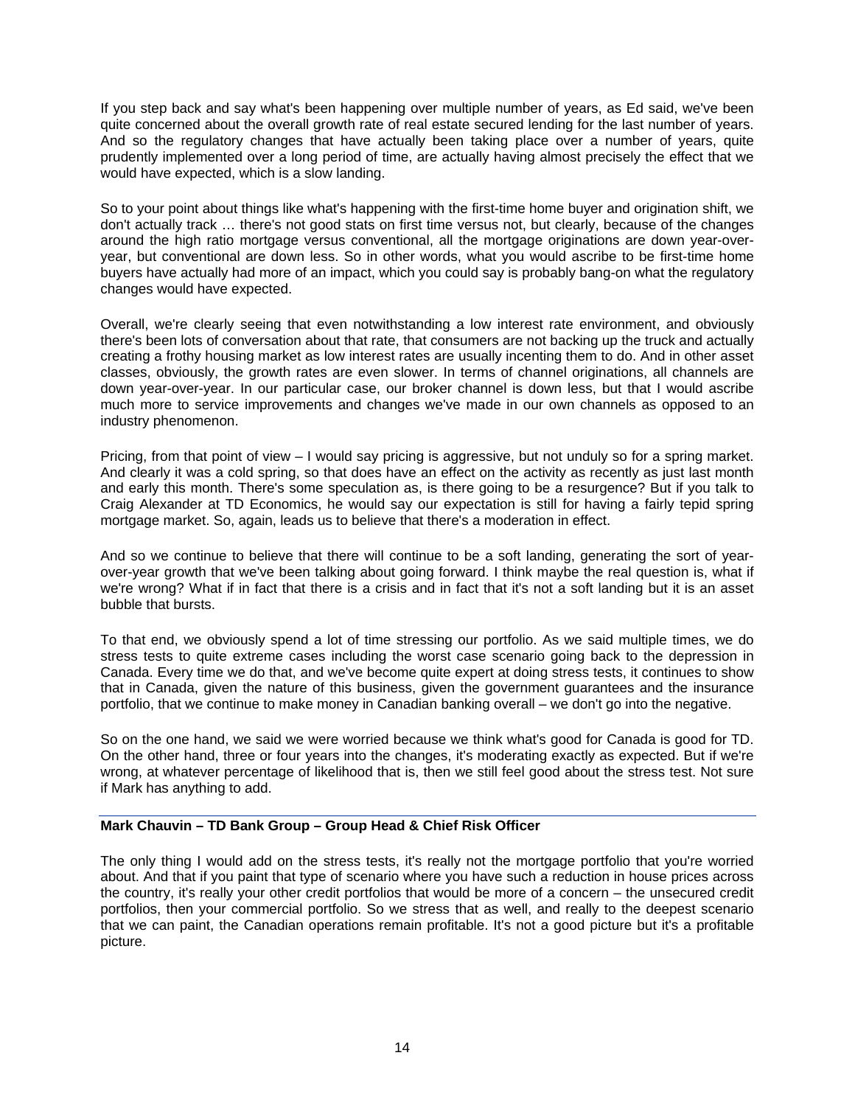If you step back and say what's been happening over multiple number of years, as Ed said, we've been quite concerned about the overall growth rate of real estate secured lending for the last number of years. And so the regulatory changes that have actually been taking place over a number of years, quite prudently implemented over a long period of time, are actually having almost precisely the effect that we would have expected, which is a slow landing.

So to your point about things like what's happening with the first-time home buyer and origination shift, we don't actually track … there's not good stats on first time versus not, but clearly, because of the changes around the high ratio mortgage versus conventional, all the mortgage originations are down year-overyear, but conventional are down less. So in other words, what you would ascribe to be first-time home buyers have actually had more of an impact, which you could say is probably bang-on what the regulatory changes would have expected.

Overall, we're clearly seeing that even notwithstanding a low interest rate environment, and obviously there's been lots of conversation about that rate, that consumers are not backing up the truck and actually creating a frothy housing market as low interest rates are usually incenting them to do. And in other asset classes, obviously, the growth rates are even slower. In terms of channel originations, all channels are down year-over-year. In our particular case, our broker channel is down less, but that I would ascribe much more to service improvements and changes we've made in our own channels as opposed to an industry phenomenon.

Pricing, from that point of view – I would say pricing is aggressive, but not unduly so for a spring market. And clearly it was a cold spring, so that does have an effect on the activity as recently as just last month and early this month. There's some speculation as, is there going to be a resurgence? But if you talk to Craig Alexander at TD Economics, he would say our expectation is still for having a fairly tepid spring mortgage market. So, again, leads us to believe that there's a moderation in effect.

And so we continue to believe that there will continue to be a soft landing, generating the sort of yearover-year growth that we've been talking about going forward. I think maybe the real question is, what if we're wrong? What if in fact that there is a crisis and in fact that it's not a soft landing but it is an asset bubble that bursts.

To that end, we obviously spend a lot of time stressing our portfolio. As we said multiple times, we do stress tests to quite extreme cases including the worst case scenario going back to the depression in Canada. Every time we do that, and we've become quite expert at doing stress tests, it continues to show that in Canada, given the nature of this business, given the government guarantees and the insurance portfolio, that we continue to make money in Canadian banking overall – we don't go into the negative.

So on the one hand, we said we were worried because we think what's good for Canada is good for TD. On the other hand, three or four years into the changes, it's moderating exactly as expected. But if we're wrong, at whatever percentage of likelihood that is, then we still feel good about the stress test. Not sure if Mark has anything to add.

## **Mark Chauvin – TD Bank Group – Group Head & Chief Risk Officer**

The only thing I would add on the stress tests, it's really not the mortgage portfolio that you're worried about. And that if you paint that type of scenario where you have such a reduction in house prices across the country, it's really your other credit portfolios that would be more of a concern – the unsecured credit portfolios, then your commercial portfolio. So we stress that as well, and really to the deepest scenario that we can paint, the Canadian operations remain profitable. It's not a good picture but it's a profitable picture.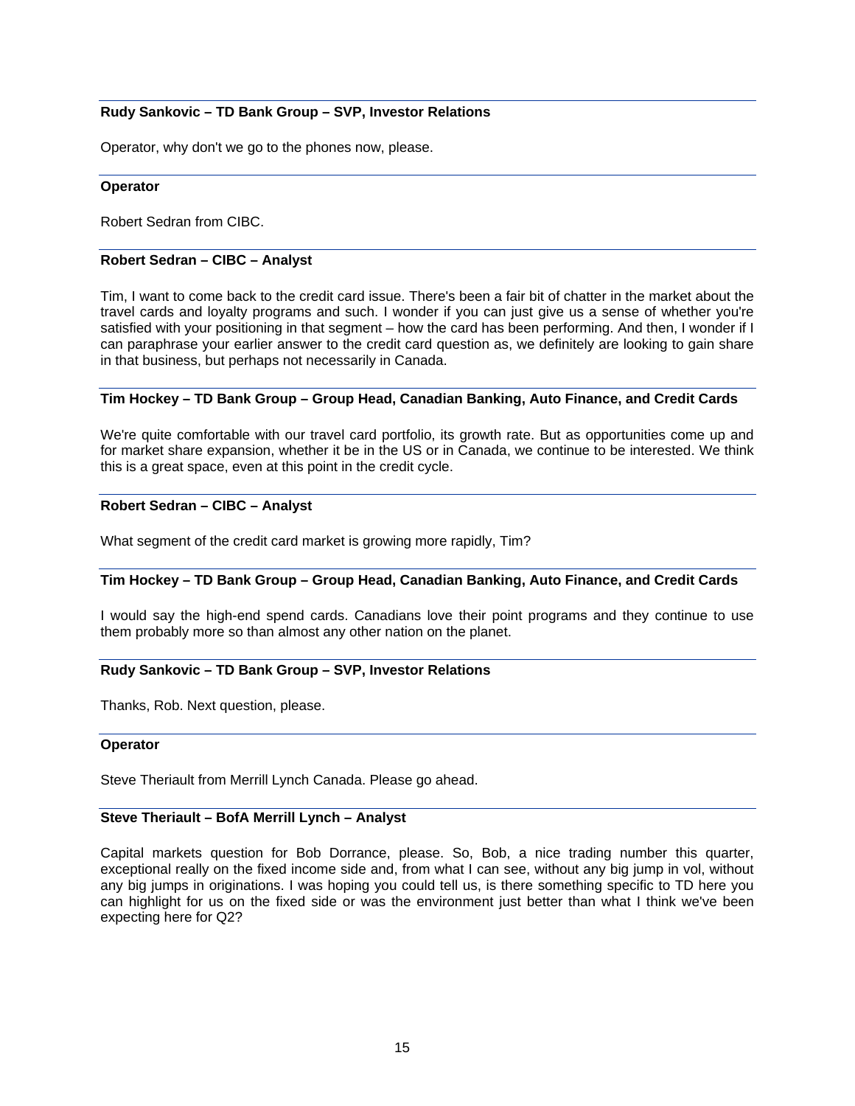### **Rudy Sankovic – TD Bank Group – SVP, Investor Relations**

Operator, why don't we go to the phones now, please.

#### **Operator**

Robert Sedran from CIBC.

#### **Robert Sedran – CIBC – Analyst**

Tim, I want to come back to the credit card issue. There's been a fair bit of chatter in the market about the travel cards and loyalty programs and such. I wonder if you can just give us a sense of whether you're satisfied with your positioning in that segment – how the card has been performing. And then, I wonder if I can paraphrase your earlier answer to the credit card question as, we definitely are looking to gain share in that business, but perhaps not necessarily in Canada.

## **Tim Hockey – TD Bank Group – Group Head, Canadian Banking, Auto Finance, and Credit Cards**

We're quite comfortable with our travel card portfolio, its growth rate. But as opportunities come up and for market share expansion, whether it be in the US or in Canada, we continue to be interested. We think this is a great space, even at this point in the credit cycle.

#### **Robert Sedran – CIBC – Analyst**

What segment of the credit card market is growing more rapidly, Tim?

### **Tim Hockey – TD Bank Group – Group Head, Canadian Banking, Auto Finance, and Credit Cards**

I would say the high-end spend cards. Canadians love their point programs and they continue to use them probably more so than almost any other nation on the planet.

#### **Rudy Sankovic – TD Bank Group – SVP, Investor Relations**

Thanks, Rob. Next question, please.

#### **Operator**

Steve Theriault from Merrill Lynch Canada. Please go ahead.

#### **Steve Theriault – BofA Merrill Lynch – Analyst**

Capital markets question for Bob Dorrance, please. So, Bob, a nice trading number this quarter, exceptional really on the fixed income side and, from what I can see, without any big jump in vol, without any big jumps in originations. I was hoping you could tell us, is there something specific to TD here you can highlight for us on the fixed side or was the environment just better than what I think we've been expecting here for Q2?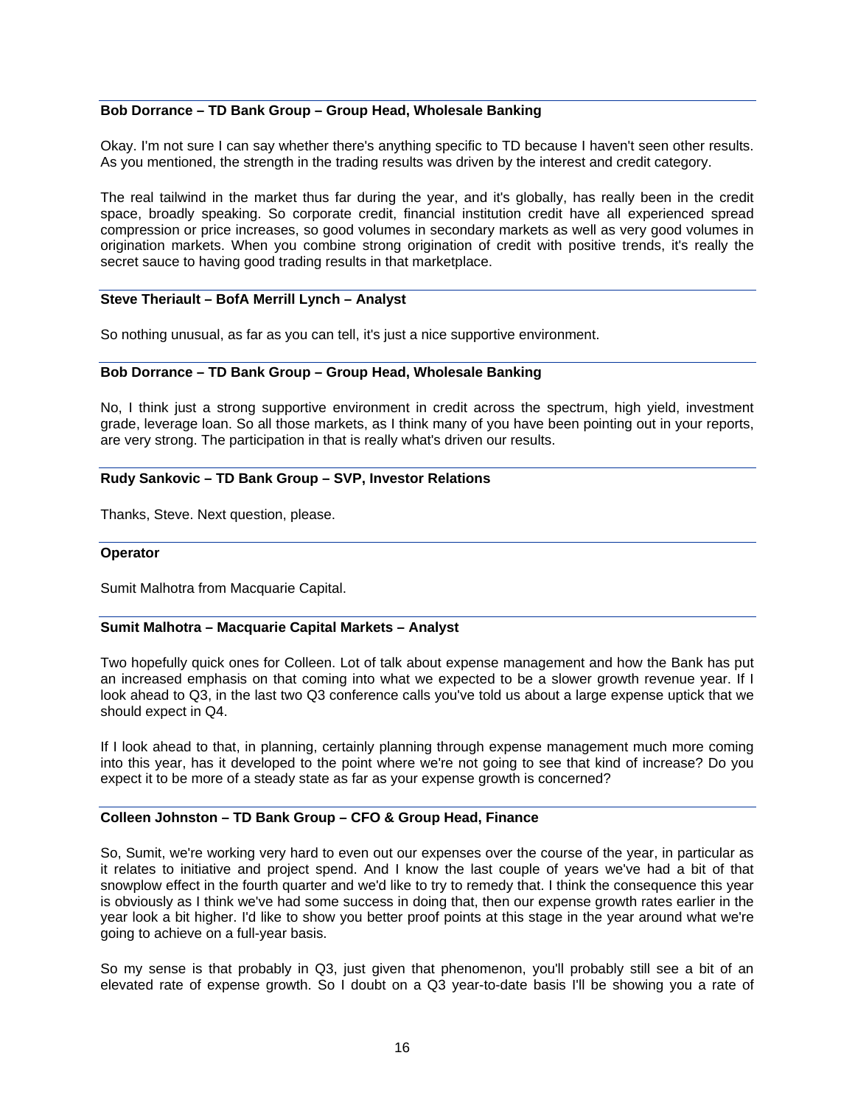### **Bob Dorrance – TD Bank Group – Group Head, Wholesale Banking**

Okay. I'm not sure I can say whether there's anything specific to TD because I haven't seen other results. As you mentioned, the strength in the trading results was driven by the interest and credit category.

The real tailwind in the market thus far during the year, and it's globally, has really been in the credit space, broadly speaking. So corporate credit, financial institution credit have all experienced spread compression or price increases, so good volumes in secondary markets as well as very good volumes in origination markets. When you combine strong origination of credit with positive trends, it's really the secret sauce to having good trading results in that marketplace.

## **Steve Theriault – BofA Merrill Lynch – Analyst**

So nothing unusual, as far as you can tell, it's just a nice supportive environment.

#### **Bob Dorrance – TD Bank Group – Group Head, Wholesale Banking**

No, I think just a strong supportive environment in credit across the spectrum, high yield, investment grade, leverage loan. So all those markets, as I think many of you have been pointing out in your reports, are very strong. The participation in that is really what's driven our results.

#### **Rudy Sankovic – TD Bank Group – SVP, Investor Relations**

Thanks, Steve. Next question, please.

#### **Operator**

Sumit Malhotra from Macquarie Capital.

#### **Sumit Malhotra – Macquarie Capital Markets – Analyst**

Two hopefully quick ones for Colleen. Lot of talk about expense management and how the Bank has put an increased emphasis on that coming into what we expected to be a slower growth revenue year. If I look ahead to Q3, in the last two Q3 conference calls you've told us about a large expense uptick that we should expect in Q4.

If I look ahead to that, in planning, certainly planning through expense management much more coming into this year, has it developed to the point where we're not going to see that kind of increase? Do you expect it to be more of a steady state as far as your expense growth is concerned?

## **Colleen Johnston – TD Bank Group – CFO & Group Head, Finance**

So, Sumit, we're working very hard to even out our expenses over the course of the year, in particular as it relates to initiative and project spend. And I know the last couple of years we've had a bit of that snowplow effect in the fourth quarter and we'd like to try to remedy that. I think the consequence this year is obviously as I think we've had some success in doing that, then our expense growth rates earlier in the year look a bit higher. I'd like to show you better proof points at this stage in the year around what we're going to achieve on a full-year basis.

So my sense is that probably in Q3, just given that phenomenon, you'll probably still see a bit of an elevated rate of expense growth. So I doubt on a Q3 year-to-date basis I'll be showing you a rate of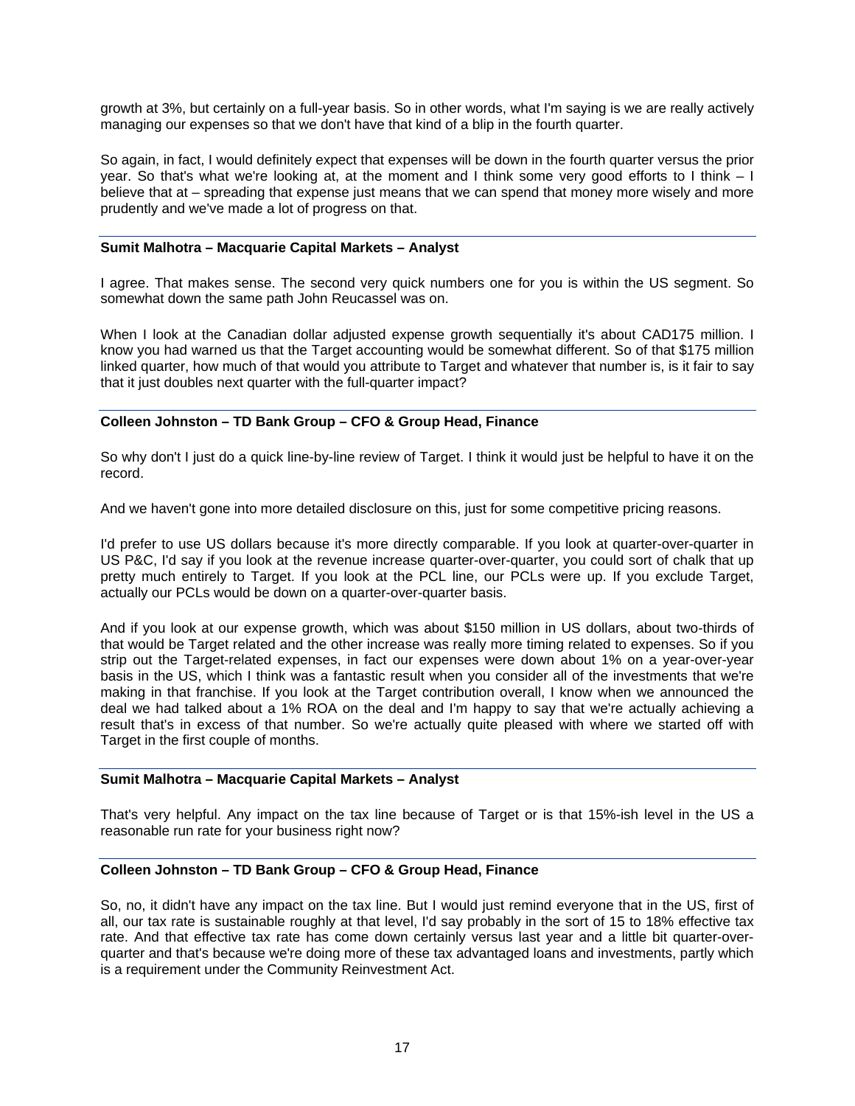growth at 3%, but certainly on a full-year basis. So in other words, what I'm saying is we are really actively managing our expenses so that we don't have that kind of a blip in the fourth quarter.

So again, in fact, I would definitely expect that expenses will be down in the fourth quarter versus the prior year. So that's what we're looking at, at the moment and I think some very good efforts to I think – I believe that at – spreading that expense just means that we can spend that money more wisely and more prudently and we've made a lot of progress on that.

#### **Sumit Malhotra – Macquarie Capital Markets – Analyst**

I agree. That makes sense. The second very quick numbers one for you is within the US segment. So somewhat down the same path John Reucassel was on.

When I look at the Canadian dollar adjusted expense growth sequentially it's about CAD175 million. I know you had warned us that the Target accounting would be somewhat different. So of that \$175 million linked quarter, how much of that would you attribute to Target and whatever that number is, is it fair to say that it just doubles next quarter with the full-quarter impact?

### **Colleen Johnston – TD Bank Group – CFO & Group Head, Finance**

So why don't I just do a quick line-by-line review of Target. I think it would just be helpful to have it on the record.

And we haven't gone into more detailed disclosure on this, just for some competitive pricing reasons.

I'd prefer to use US dollars because it's more directly comparable. If you look at quarter-over-quarter in US P&C, I'd say if you look at the revenue increase quarter-over-quarter, you could sort of chalk that up pretty much entirely to Target. If you look at the PCL line, our PCLs were up. If you exclude Target, actually our PCLs would be down on a quarter-over-quarter basis.

And if you look at our expense growth, which was about \$150 million in US dollars, about two-thirds of that would be Target related and the other increase was really more timing related to expenses. So if you strip out the Target-related expenses, in fact our expenses were down about 1% on a year-over-year basis in the US, which I think was a fantastic result when you consider all of the investments that we're making in that franchise. If you look at the Target contribution overall, I know when we announced the deal we had talked about a 1% ROA on the deal and I'm happy to say that we're actually achieving a result that's in excess of that number. So we're actually quite pleased with where we started off with Target in the first couple of months.

### **Sumit Malhotra – Macquarie Capital Markets – Analyst**

That's very helpful. Any impact on the tax line because of Target or is that 15%-ish level in the US a reasonable run rate for your business right now?

### **Colleen Johnston – TD Bank Group – CFO & Group Head, Finance**

So, no, it didn't have any impact on the tax line. But I would just remind everyone that in the US, first of all, our tax rate is sustainable roughly at that level, I'd say probably in the sort of 15 to 18% effective tax rate. And that effective tax rate has come down certainly versus last year and a little bit quarter-overquarter and that's because we're doing more of these tax advantaged loans and investments, partly which is a requirement under the Community Reinvestment Act.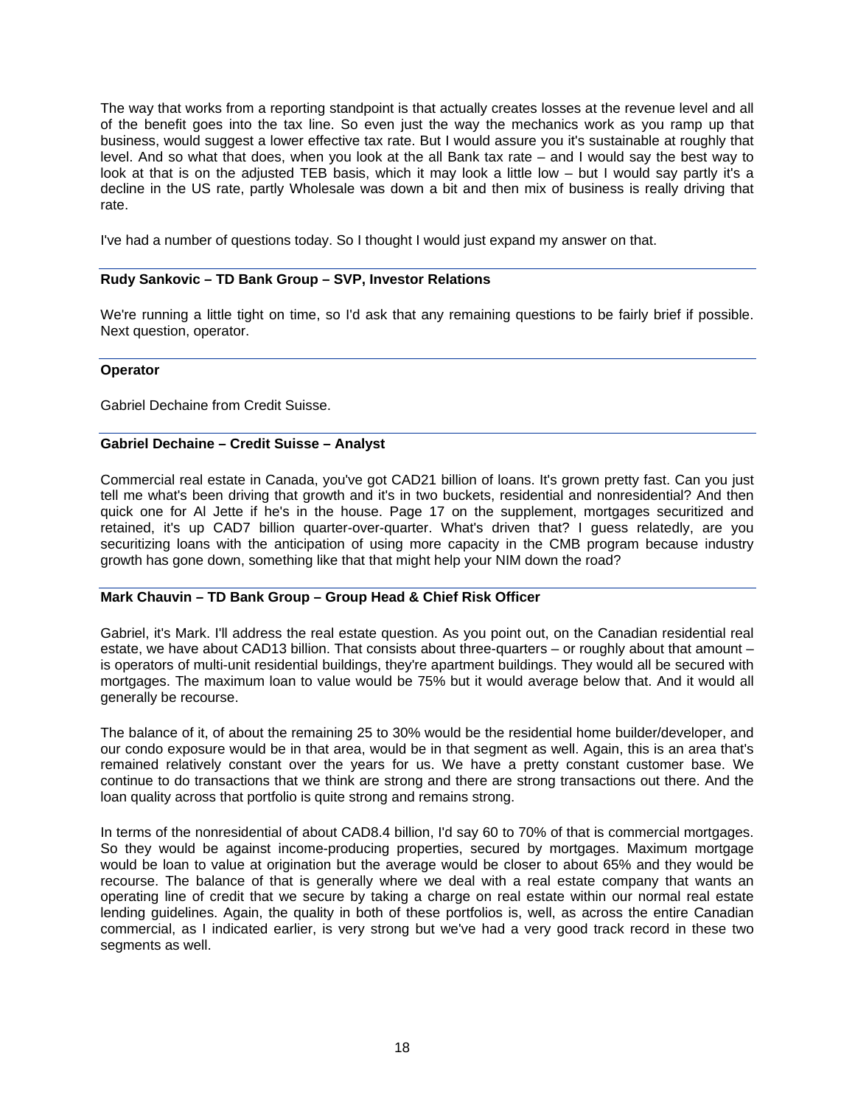The way that works from a reporting standpoint is that actually creates losses at the revenue level and all of the benefit goes into the tax line. So even just the way the mechanics work as you ramp up that business, would suggest a lower effective tax rate. But I would assure you it's sustainable at roughly that level. And so what that does, when you look at the all Bank tax rate – and I would say the best way to look at that is on the adjusted TEB basis, which it may look a little low – but I would say partly it's a decline in the US rate, partly Wholesale was down a bit and then mix of business is really driving that rate.

I've had a number of questions today. So I thought I would just expand my answer on that.

### **Rudy Sankovic – TD Bank Group – SVP, Investor Relations**

We're running a little tight on time, so I'd ask that any remaining questions to be fairly brief if possible. Next question, operator.

#### **Operator**

Gabriel Dechaine from Credit Suisse.

#### **Gabriel Dechaine – Credit Suisse – Analyst**

Commercial real estate in Canada, you've got CAD21 billion of loans. It's grown pretty fast. Can you just tell me what's been driving that growth and it's in two buckets, residential and nonresidential? And then quick one for Al Jette if he's in the house. Page 17 on the supplement, mortgages securitized and retained, it's up CAD7 billion quarter-over-quarter. What's driven that? I guess relatedly, are you securitizing loans with the anticipation of using more capacity in the CMB program because industry growth has gone down, something like that that might help your NIM down the road?

#### **Mark Chauvin – TD Bank Group – Group Head & Chief Risk Officer**

Gabriel, it's Mark. I'll address the real estate question. As you point out, on the Canadian residential real estate, we have about CAD13 billion. That consists about three-quarters – or roughly about that amount – is operators of multi-unit residential buildings, they're apartment buildings. They would all be secured with mortgages. The maximum loan to value would be 75% but it would average below that. And it would all generally be recourse.

The balance of it, of about the remaining 25 to 30% would be the residential home builder/developer, and our condo exposure would be in that area, would be in that segment as well. Again, this is an area that's remained relatively constant over the years for us. We have a pretty constant customer base. We continue to do transactions that we think are strong and there are strong transactions out there. And the loan quality across that portfolio is quite strong and remains strong.

In terms of the nonresidential of about CAD8.4 billion, I'd say 60 to 70% of that is commercial mortgages. So they would be against income-producing properties, secured by mortgages. Maximum mortgage would be loan to value at origination but the average would be closer to about 65% and they would be recourse. The balance of that is generally where we deal with a real estate company that wants an operating line of credit that we secure by taking a charge on real estate within our normal real estate lending guidelines. Again, the quality in both of these portfolios is, well, as across the entire Canadian commercial, as I indicated earlier, is very strong but we've had a very good track record in these two segments as well.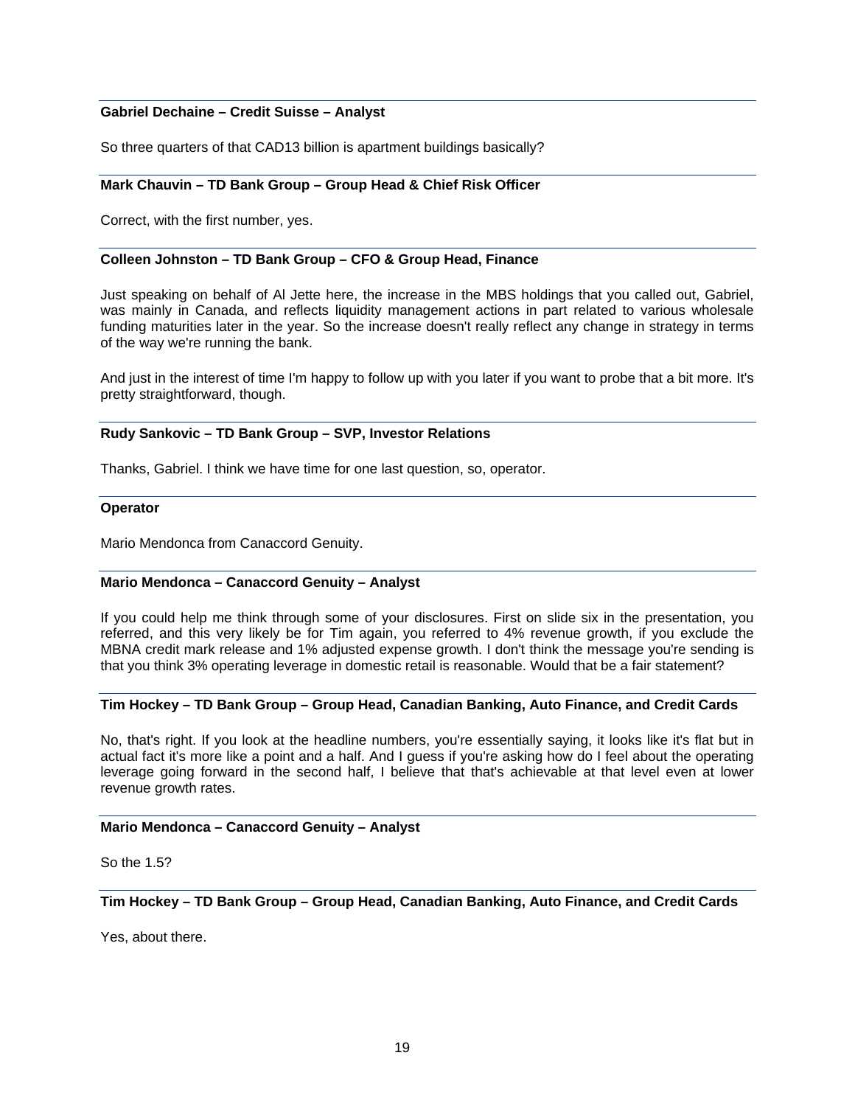### **Gabriel Dechaine – Credit Suisse – Analyst**

So three quarters of that CAD13 billion is apartment buildings basically?

#### **Mark Chauvin – TD Bank Group – Group Head & Chief Risk Officer**

Correct, with the first number, yes.

#### **Colleen Johnston – TD Bank Group – CFO & Group Head, Finance**

Just speaking on behalf of Al Jette here, the increase in the MBS holdings that you called out, Gabriel, was mainly in Canada, and reflects liquidity management actions in part related to various wholesale funding maturities later in the year. So the increase doesn't really reflect any change in strategy in terms of the way we're running the bank.

And just in the interest of time I'm happy to follow up with you later if you want to probe that a bit more. It's pretty straightforward, though.

### **Rudy Sankovic – TD Bank Group – SVP, Investor Relations**

Thanks, Gabriel. I think we have time for one last question, so, operator.

#### **Operator**

Mario Mendonca from Canaccord Genuity.

## **Mario Mendonca – Canaccord Genuity – Analyst**

If you could help me think through some of your disclosures. First on slide six in the presentation, you referred, and this very likely be for Tim again, you referred to 4% revenue growth, if you exclude the MBNA credit mark release and 1% adjusted expense growth. I don't think the message you're sending is that you think 3% operating leverage in domestic retail is reasonable. Would that be a fair statement?

### **Tim Hockey – TD Bank Group – Group Head, Canadian Banking, Auto Finance, and Credit Cards**

No, that's right. If you look at the headline numbers, you're essentially saying, it looks like it's flat but in actual fact it's more like a point and a half. And I guess if you're asking how do I feel about the operating leverage going forward in the second half, I believe that that's achievable at that level even at lower revenue growth rates.

## **Mario Mendonca – Canaccord Genuity – Analyst**

So the 1.5?

## **Tim Hockey – TD Bank Group – Group Head, Canadian Banking, Auto Finance, and Credit Cards**

Yes, about there.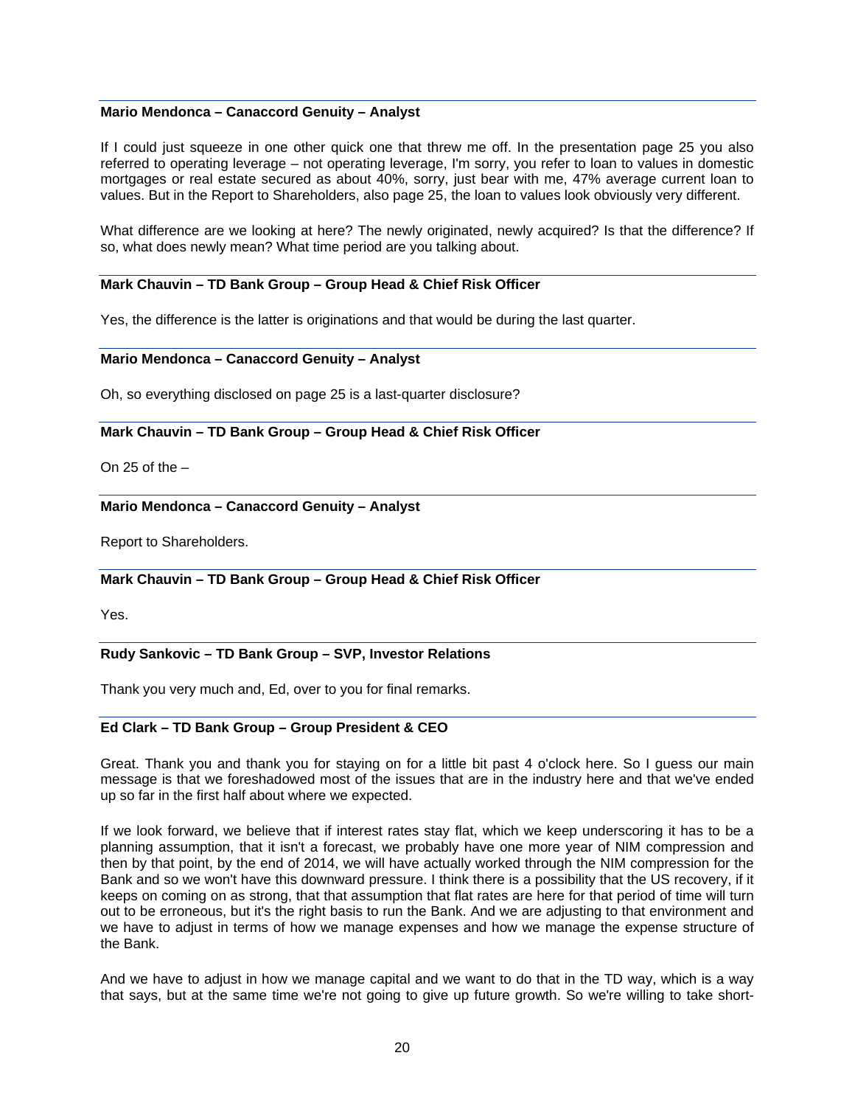### **Mario Mendonca – Canaccord Genuity – Analyst**

If I could just squeeze in one other quick one that threw me off. In the presentation page 25 you also referred to operating leverage – not operating leverage, I'm sorry, you refer to loan to values in domestic mortgages or real estate secured as about 40%, sorry, just bear with me, 47% average current loan to values. But in the Report to Shareholders, also page 25, the loan to values look obviously very different.

What difference are we looking at here? The newly originated, newly acquired? Is that the difference? If so, what does newly mean? What time period are you talking about.

### **Mark Chauvin – TD Bank Group – Group Head & Chief Risk Officer**

Yes, the difference is the latter is originations and that would be during the last quarter.

#### **Mario Mendonca – Canaccord Genuity – Analyst**

Oh, so everything disclosed on page 25 is a last-quarter disclosure?

#### **Mark Chauvin – TD Bank Group – Group Head & Chief Risk Officer**

On 25 of the  $-$ 

## **Mario Mendonca – Canaccord Genuity – Analyst**

Report to Shareholders.

### **Mark Chauvin – TD Bank Group – Group Head & Chief Risk Officer**

Yes.

## **Rudy Sankovic – TD Bank Group – SVP, Investor Relations**

Thank you very much and, Ed, over to you for final remarks.

#### **Ed Clark – TD Bank Group – Group President & CEO**

Great. Thank you and thank you for staying on for a little bit past 4 o'clock here. So I guess our main message is that we foreshadowed most of the issues that are in the industry here and that we've ended up so far in the first half about where we expected.

If we look forward, we believe that if interest rates stay flat, which we keep underscoring it has to be a planning assumption, that it isn't a forecast, we probably have one more year of NIM compression and then by that point, by the end of 2014, we will have actually worked through the NIM compression for the Bank and so we won't have this downward pressure. I think there is a possibility that the US recovery, if it keeps on coming on as strong, that that assumption that flat rates are here for that period of time will turn out to be erroneous, but it's the right basis to run the Bank. And we are adjusting to that environment and we have to adjust in terms of how we manage expenses and how we manage the expense structure of the Bank.

And we have to adjust in how we manage capital and we want to do that in the TD way, which is a way that says, but at the same time we're not going to give up future growth. So we're willing to take short